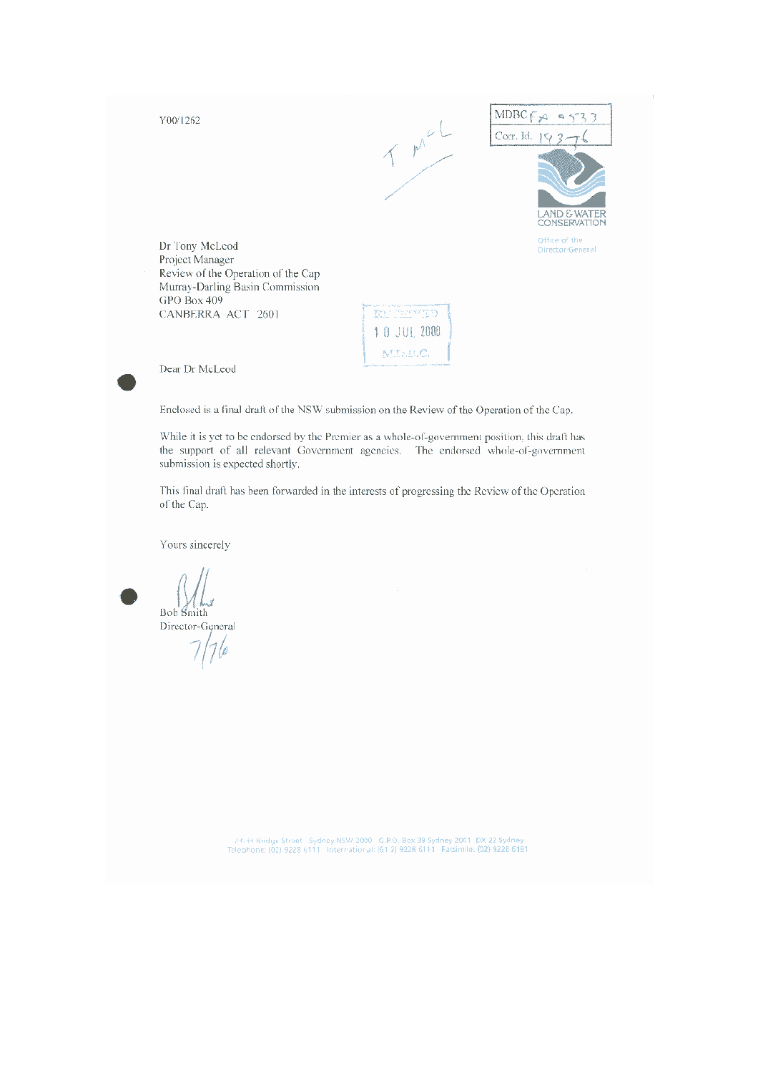Y00/1262





Dr Tony McLeod Project Manager Review of the Operation of the Cap Murray-Darling Basin Commission GPO Box 409 CANBERRA ACT 2601

**REGRETES** 1 8 JUL 2000 M.L.B.C.

Dear Dr McLeod

Enclosed is a final draft of the NSW submission on the Review of the Operation of the Cap.

While it is yet to be endorsed by the Premier as a whole-of-government position, this draft has the support of all relevant Government agencies. The endorsed whole-of-government submission is expected shortly.

This final draft has been forwarded in the interests of progressing the Review of the Operation of the Cap.

Yours sincerely

Bob Smith

Director-General

74-33 Bridge Street - Sydney NSW 2000 - G.P.O. Box 39 Sydney 2001 - DX 22 Sydney - Telephone: (02) 9228-6111 - International: (61-2) 9228-6191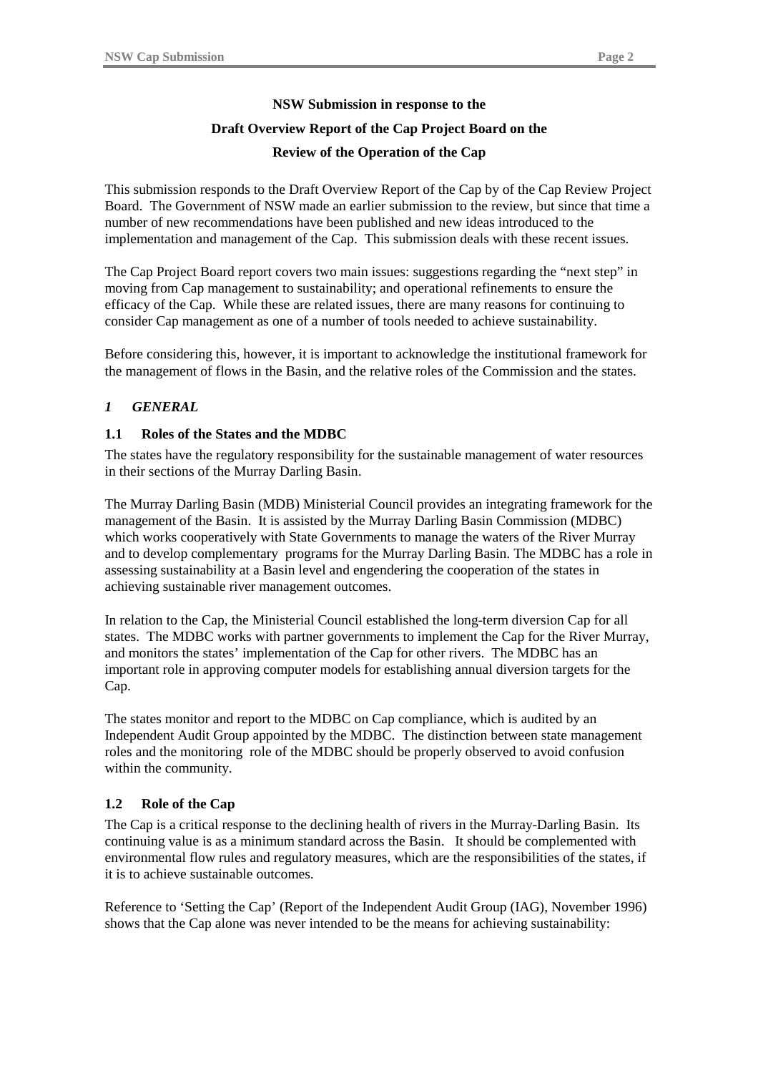## **NSW Submission in response to the**

## **Draft Overview Report of the Cap Project Board on the**

#### **Review of the Operation of the Cap**

This submission responds to the Draft Overview Report of the Cap by of the Cap Review Project Board. The Government of NSW made an earlier submission to the review, but since that time a number of new recommendations have been published and new ideas introduced to the implementation and management of the Cap. This submission deals with these recent issues.

The Cap Project Board report covers two main issues: suggestions regarding the "next step" in moving from Cap management to sustainability; and operational refinements to ensure the efficacy of the Cap. While these are related issues, there are many reasons for continuing to consider Cap management as one of a number of tools needed to achieve sustainability.

Before considering this, however, it is important to acknowledge the institutional framework for the management of flows in the Basin, and the relative roles of the Commission and the states.

#### *1 GENERAL*

#### **1.1 Roles of the States and the MDBC**

The states have the regulatory responsibility for the sustainable management of water resources in their sections of the Murray Darling Basin.

The Murray Darling Basin (MDB) Ministerial Council provides an integrating framework for the management of the Basin. It is assisted by the Murray Darling Basin Commission (MDBC) which works cooperatively with State Governments to manage the waters of the River Murray and to develop complementary programs for the Murray Darling Basin. The MDBC has a role in assessing sustainability at a Basin level and engendering the cooperation of the states in achieving sustainable river management outcomes.

In relation to the Cap, the Ministerial Council established the long-term diversion Cap for all states. The MDBC works with partner governments to implement the Cap for the River Murray, and monitors the states' implementation of the Cap for other rivers. The MDBC has an important role in approving computer models for establishing annual diversion targets for the Cap.

The states monitor and report to the MDBC on Cap compliance, which is audited by an Independent Audit Group appointed by the MDBC. The distinction between state management roles and the monitoring role of the MDBC should be properly observed to avoid confusion within the community.

#### **1.2 Role of the Cap**

The Cap is a critical response to the declining health of rivers in the Murray-Darling Basin. Its continuing value is as a minimum standard across the Basin. It should be complemented with environmental flow rules and regulatory measures, which are the responsibilities of the states, if it is to achieve sustainable outcomes.

Reference to 'Setting the Cap' (Report of the Independent Audit Group (IAG), November 1996) shows that the Cap alone was never intended to be the means for achieving sustainability: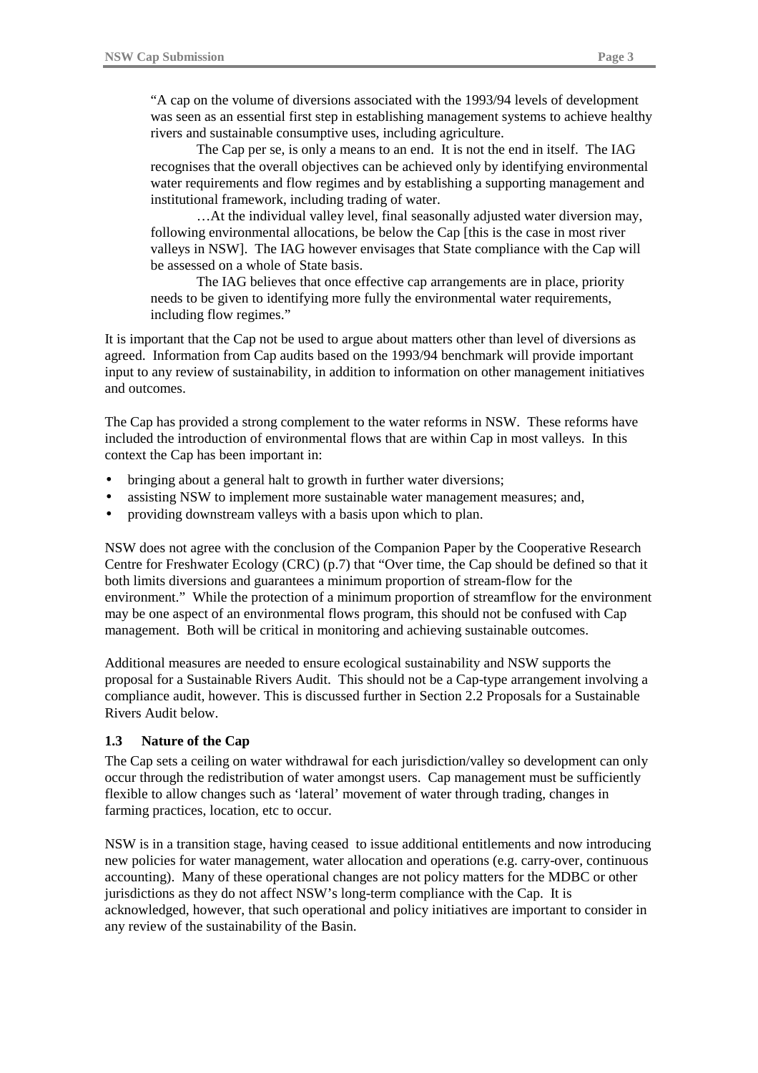"A cap on the volume of diversions associated with the 1993/94 levels of development was seen as an essential first step in establishing management systems to achieve healthy rivers and sustainable consumptive uses, including agriculture.

The Cap per se, is only a means to an end. It is not the end in itself. The IAG recognises that the overall objectives can be achieved only by identifying environmental water requirements and flow regimes and by establishing a supporting management and institutional framework, including trading of water.

…At the individual valley level, final seasonally adjusted water diversion may, following environmental allocations, be below the Cap [this is the case in most river valleys in NSW]. The IAG however envisages that State compliance with the Cap will be assessed on a whole of State basis.

The IAG believes that once effective cap arrangements are in place, priority needs to be given to identifying more fully the environmental water requirements, including flow regimes."

It is important that the Cap not be used to argue about matters other than level of diversions as agreed. Information from Cap audits based on the 1993/94 benchmark will provide important input to any review of sustainability, in addition to information on other management initiatives and outcomes.

The Cap has provided a strong complement to the water reforms in NSW. These reforms have included the introduction of environmental flows that are within Cap in most valleys. In this context the Cap has been important in:

- bringing about a general halt to growth in further water diversions;
- assisting NSW to implement more sustainable water management measures; and,
- providing downstream valleys with a basis upon which to plan.

NSW does not agree with the conclusion of the Companion Paper by the Cooperative Research Centre for Freshwater Ecology (CRC) (p.7) that "Over time, the Cap should be defined so that it both limits diversions and guarantees a minimum proportion of stream-flow for the environment." While the protection of a minimum proportion of streamflow for the environment may be one aspect of an environmental flows program, this should not be confused with Cap management. Both will be critical in monitoring and achieving sustainable outcomes.

Additional measures are needed to ensure ecological sustainability and NSW supports the proposal for a Sustainable Rivers Audit. This should not be a Cap-type arrangement involving a compliance audit, however. This is discussed further in Section 2.2 Proposals for a Sustainable Rivers Audit below.

#### **1.3 Nature of the Cap**

The Cap sets a ceiling on water withdrawal for each jurisdiction/valley so development can only occur through the redistribution of water amongst users. Cap management must be sufficiently flexible to allow changes such as 'lateral' movement of water through trading, changes in farming practices, location, etc to occur.

NSW is in a transition stage, having ceased to issue additional entitlements and now introducing new policies for water management, water allocation and operations (e.g. carry-over, continuous accounting). Many of these operational changes are not policy matters for the MDBC or other jurisdictions as they do not affect NSW's long-term compliance with the Cap. It is acknowledged, however, that such operational and policy initiatives are important to consider in any review of the sustainability of the Basin.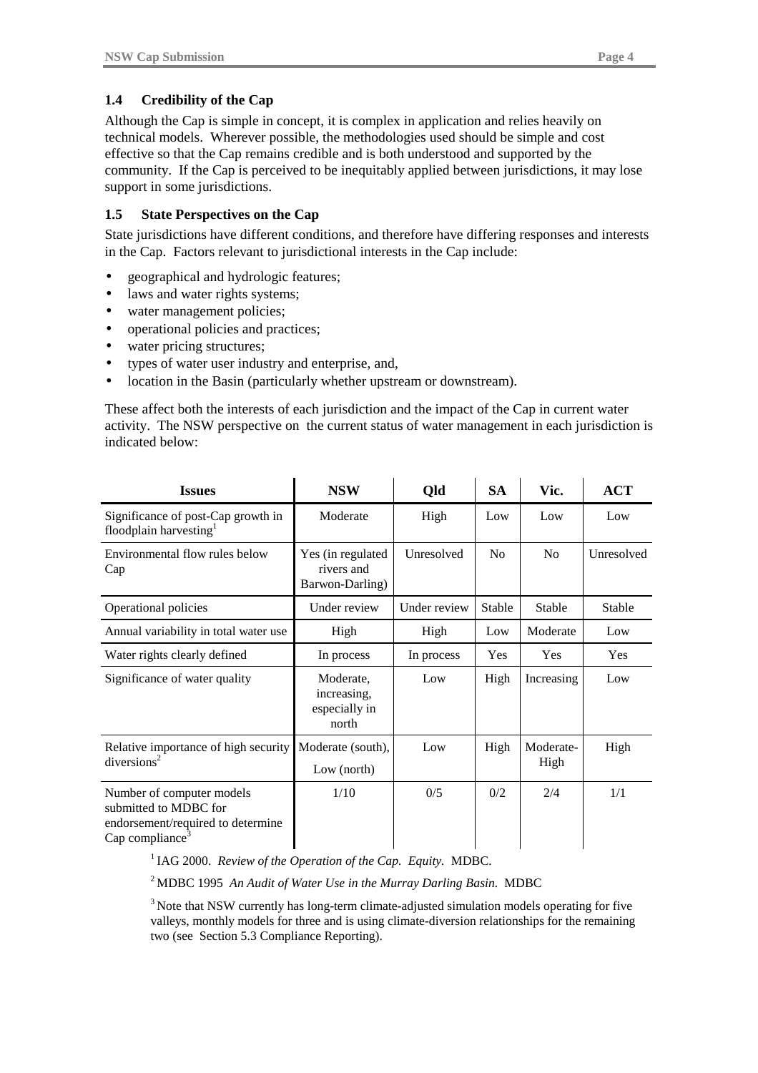### **1.4 Credibility of the Cap**

Although the Cap is simple in concept, it is complex in application and relies heavily on technical models. Wherever possible, the methodologies used should be simple and cost effective so that the Cap remains credible and is both understood and supported by the community. If the Cap is perceived to be inequitably applied between jurisdictions, it may lose support in some jurisdictions.

#### **1.5 State Perspectives on the Cap**

State jurisdictions have different conditions, and therefore have differing responses and interests in the Cap. Factors relevant to jurisdictional interests in the Cap include:

- geographical and hydrologic features;
- laws and water rights systems;
- water management policies;
- operational policies and practices;
- water pricing structures:
- types of water user industry and enterprise, and,
- location in the Basin (particularly whether upstream or downstream).

These affect both the interests of each jurisdiction and the impact of the Cap in current water activity. The NSW perspective on the current status of water management in each jurisdiction is indicated below:

| <b>Issues</b>                                                                                                          | <b>NSW</b>                                         | Qld          | <b>SA</b>      | Vic.              | <b>ACT</b> |
|------------------------------------------------------------------------------------------------------------------------|----------------------------------------------------|--------------|----------------|-------------------|------------|
| Significance of post-Cap growth in<br>floodplain harvesting                                                            | Moderate                                           | High         | Low            | Low               | Low        |
| Environmental flow rules below<br>Cap                                                                                  | Yes (in regulated<br>rivers and<br>Barwon-Darling) | Unresolved   | N <sub>0</sub> | N <sub>0</sub>    | Unresolved |
| Operational policies                                                                                                   | Under review                                       | Under review | <b>Stable</b>  | Stable            | Stable     |
| Annual variability in total water use                                                                                  | High                                               | High         | Low            | Moderate          | Low        |
| Water rights clearly defined                                                                                           | In process                                         | In process   | Yes            | Yes               | Yes        |
| Significance of water quality                                                                                          | Moderate,<br>increasing,<br>especially in<br>north | Low          | High           | Increasing        | Low        |
| Relative importance of high security<br>diversions <sup>2</sup>                                                        | Moderate (south),<br>Low (north)                   | Low          | High           | Moderate-<br>High | High       |
| Number of computer models<br>submitted to MDBC for<br>endorsement/required to determine<br>Cap compliance <sup>3</sup> | 1/10                                               | 0/5          | 0/2            | 2/4               | 1/1        |

<sup>1</sup> IAG 2000. *Review of the Operation of the Cap. Equity.* MDBC.

2 MDBC 1995 *An Audit of Water Use in the Murray Darling Basin.* MDBC

<sup>3</sup> Note that NSW currently has long-term climate-adjusted simulation models operating for five valleys, monthly models for three and is using climate-diversion relationships for the remaining two (see Section 5.3 Compliance Reporting).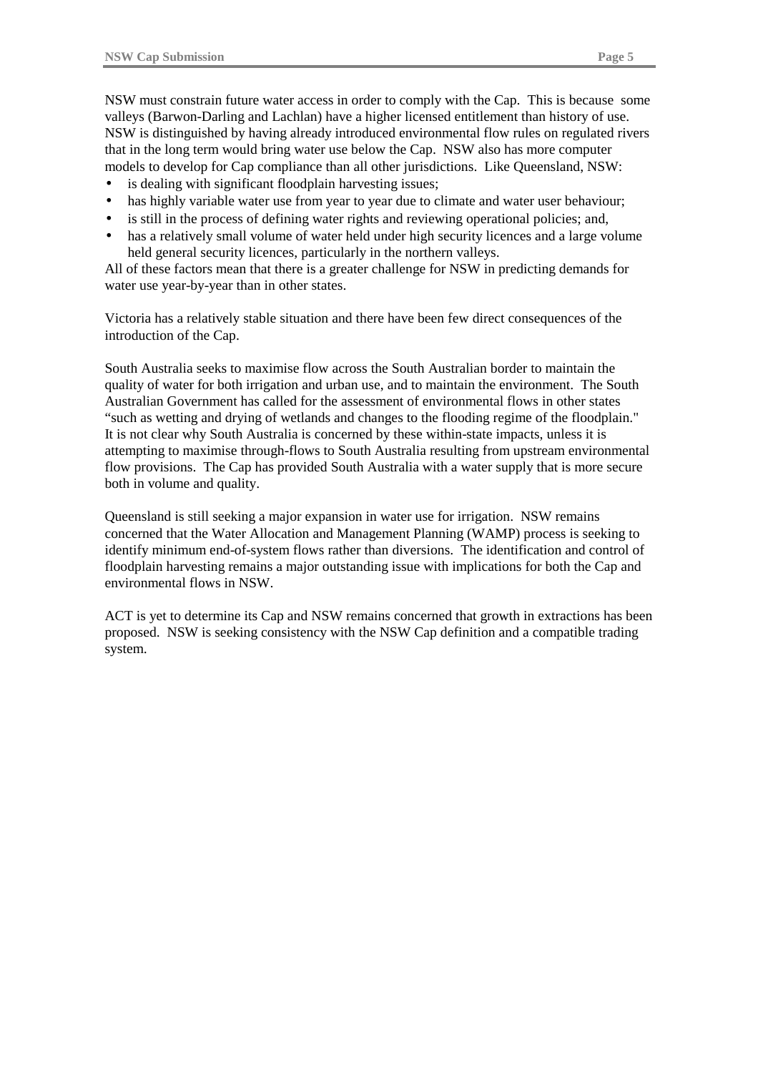NSW must constrain future water access in order to comply with the Cap. This is because some valleys (Barwon-Darling and Lachlan) have a higher licensed entitlement than history of use. NSW is distinguished by having already introduced environmental flow rules on regulated rivers that in the long term would bring water use below the Cap. NSW also has more computer models to develop for Cap compliance than all other jurisdictions. Like Queensland, NSW:

- is dealing with significant floodplain harvesting issues;
- has highly variable water use from year to year due to climate and water user behaviour;
- is still in the process of defining water rights and reviewing operational policies; and,
- has a relatively small volume of water held under high security licences and a large volume held general security licences, particularly in the northern valleys.

All of these factors mean that there is a greater challenge for NSW in predicting demands for water use year-by-year than in other states.

Victoria has a relatively stable situation and there have been few direct consequences of the introduction of the Cap.

South Australia seeks to maximise flow across the South Australian border to maintain the quality of water for both irrigation and urban use, and to maintain the environment. The South Australian Government has called for the assessment of environmental flows in other states "such as wetting and drying of wetlands and changes to the flooding regime of the floodplain." It is not clear why South Australia is concerned by these within-state impacts, unless it is attempting to maximise through-flows to South Australia resulting from upstream environmental flow provisions. The Cap has provided South Australia with a water supply that is more secure both in volume and quality.

Queensland is still seeking a major expansion in water use for irrigation. NSW remains concerned that the Water Allocation and Management Planning (WAMP) process is seeking to identify minimum end-of-system flows rather than diversions. The identification and control of floodplain harvesting remains a major outstanding issue with implications for both the Cap and environmental flows in NSW.

ACT is yet to determine its Cap and NSW remains concerned that growth in extractions has been proposed. NSW is seeking consistency with the NSW Cap definition and a compatible trading system.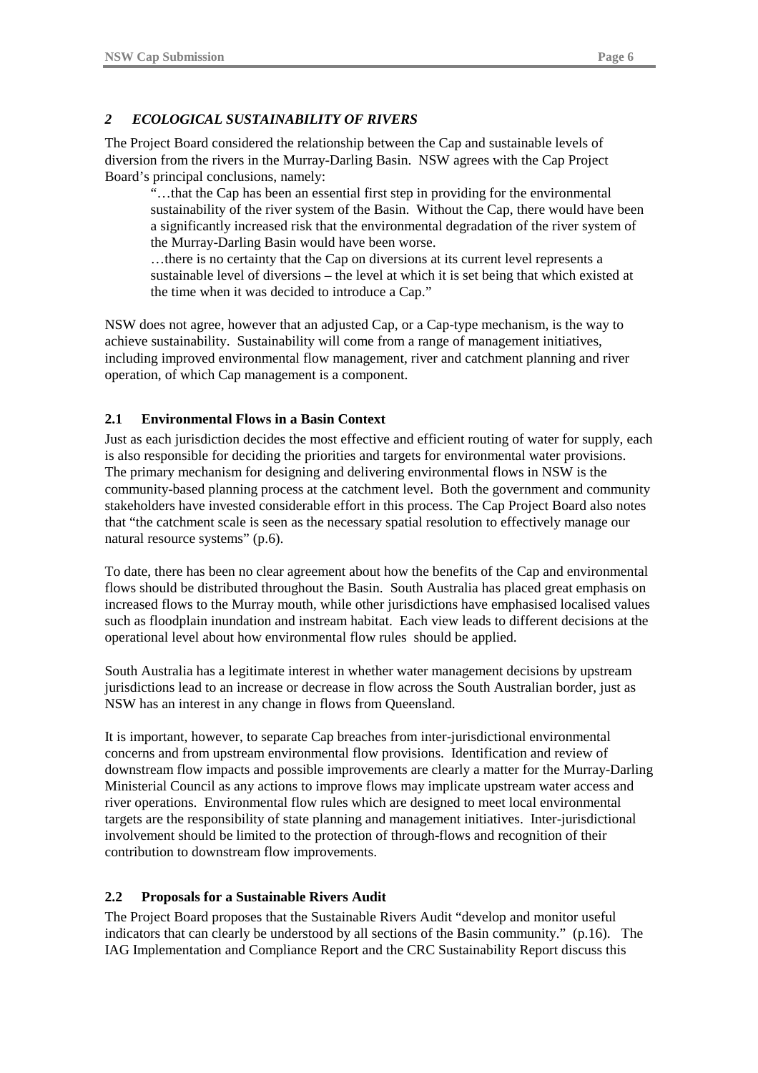#### *2 ECOLOGICAL SUSTAINABILITY OF RIVERS*

The Project Board considered the relationship between the Cap and sustainable levels of diversion from the rivers in the Murray-Darling Basin. NSW agrees with the Cap Project Board's principal conclusions, namely:

"…that the Cap has been an essential first step in providing for the environmental sustainability of the river system of the Basin. Without the Cap, there would have been a significantly increased risk that the environmental degradation of the river system of the Murray-Darling Basin would have been worse.

…there is no certainty that the Cap on diversions at its current level represents a sustainable level of diversions – the level at which it is set being that which existed at the time when it was decided to introduce a Cap."

NSW does not agree, however that an adjusted Cap, or a Cap-type mechanism, is the way to achieve sustainability. Sustainability will come from a range of management initiatives, including improved environmental flow management, river and catchment planning and river operation, of which Cap management is a component.

#### **2.1 Environmental Flows in a Basin Context**

Just as each jurisdiction decides the most effective and efficient routing of water for supply, each is also responsible for deciding the priorities and targets for environmental water provisions. The primary mechanism for designing and delivering environmental flows in NSW is the community-based planning process at the catchment level. Both the government and community stakeholders have invested considerable effort in this process. The Cap Project Board also notes that "the catchment scale is seen as the necessary spatial resolution to effectively manage our natural resource systems" (p.6).

To date, there has been no clear agreement about how the benefits of the Cap and environmental flows should be distributed throughout the Basin. South Australia has placed great emphasis on increased flows to the Murray mouth, while other jurisdictions have emphasised localised values such as floodplain inundation and instream habitat. Each view leads to different decisions at the operational level about how environmental flow rules should be applied.

South Australia has a legitimate interest in whether water management decisions by upstream jurisdictions lead to an increase or decrease in flow across the South Australian border, just as NSW has an interest in any change in flows from Queensland.

It is important, however, to separate Cap breaches from inter-jurisdictional environmental concerns and from upstream environmental flow provisions. Identification and review of downstream flow impacts and possible improvements are clearly a matter for the Murray-Darling Ministerial Council as any actions to improve flows may implicate upstream water access and river operations. Environmental flow rules which are designed to meet local environmental targets are the responsibility of state planning and management initiatives. Inter-jurisdictional involvement should be limited to the protection of through-flows and recognition of their contribution to downstream flow improvements.

#### **2.2 Proposals for a Sustainable Rivers Audit**

The Project Board proposes that the Sustainable Rivers Audit "develop and monitor useful indicators that can clearly be understood by all sections of the Basin community." (p.16). The IAG Implementation and Compliance Report and the CRC Sustainability Report discuss this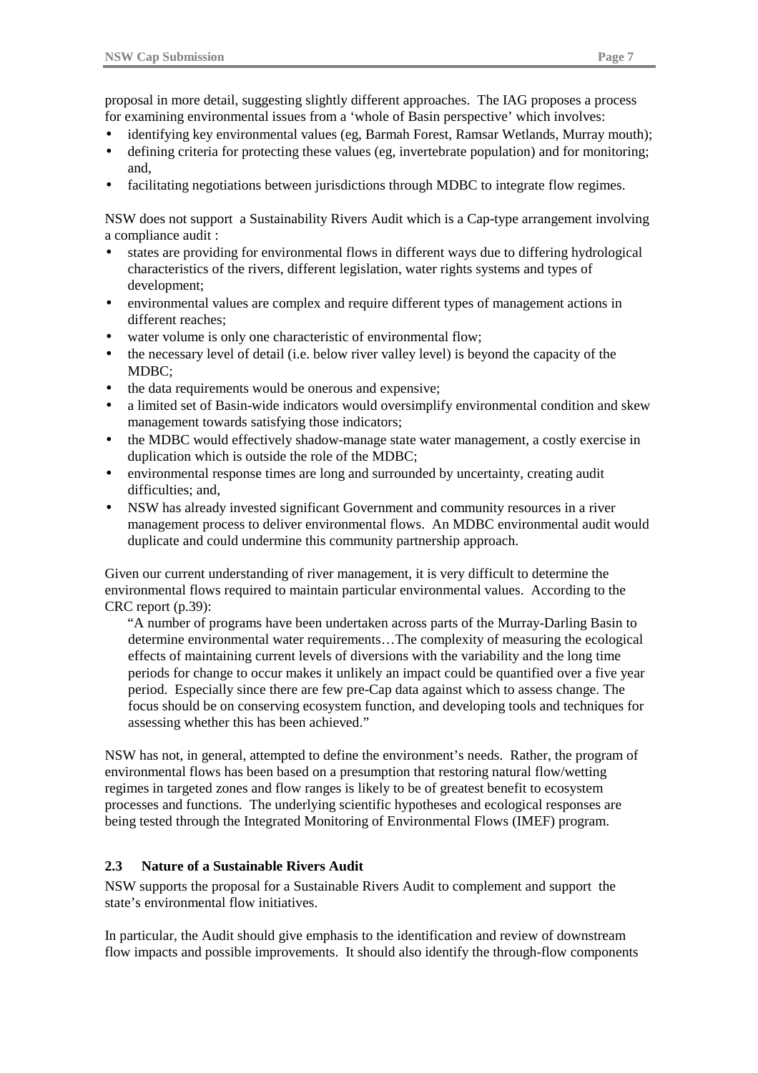proposal in more detail, suggesting slightly different approaches. The IAG proposes a process for examining environmental issues from a 'whole of Basin perspective' which involves:

- identifying key environmental values (eg, Barmah Forest, Ramsar Wetlands, Murray mouth);
- defining criteria for protecting these values (eg, invertebrate population) and for monitoring; and,
- facilitating negotiations between jurisdictions through MDBC to integrate flow regimes.

NSW does not support a Sustainability Rivers Audit which is a Cap-type arrangement involving a compliance audit :

- states are providing for environmental flows in different ways due to differing hydrological characteristics of the rivers, different legislation, water rights systems and types of development;
- environmental values are complex and require different types of management actions in different reaches;
- water volume is only one characteristic of environmental flow;
- the necessary level of detail (i.e. below river valley level) is beyond the capacity of the MDBC;
- the data requirements would be onerous and expensive;
- a limited set of Basin-wide indicators would oversimplify environmental condition and skew management towards satisfying those indicators;
- the MDBC would effectively shadow-manage state water management, a costly exercise in duplication which is outside the role of the MDBC;
- environmental response times are long and surrounded by uncertainty, creating audit difficulties; and,
- NSW has already invested significant Government and community resources in a river management process to deliver environmental flows. An MDBC environmental audit would duplicate and could undermine this community partnership approach.

Given our current understanding of river management, it is very difficult to determine the environmental flows required to maintain particular environmental values. According to the CRC report (p.39):

"A number of programs have been undertaken across parts of the Murray-Darling Basin to determine environmental water requirements…The complexity of measuring the ecological effects of maintaining current levels of diversions with the variability and the long time periods for change to occur makes it unlikely an impact could be quantified over a five year period. Especially since there are few pre-Cap data against which to assess change. The focus should be on conserving ecosystem function, and developing tools and techniques for assessing whether this has been achieved."

NSW has not, in general, attempted to define the environment's needs. Rather, the program of environmental flows has been based on a presumption that restoring natural flow/wetting regimes in targeted zones and flow ranges is likely to be of greatest benefit to ecosystem processes and functions. The underlying scientific hypotheses and ecological responses are being tested through the Integrated Monitoring of Environmental Flows (IMEF) program.

#### **2.3 Nature of a Sustainable Rivers Audit**

NSW supports the proposal for a Sustainable Rivers Audit to complement and support the state's environmental flow initiatives.

In particular, the Audit should give emphasis to the identification and review of downstream flow impacts and possible improvements. It should also identify the through-flow components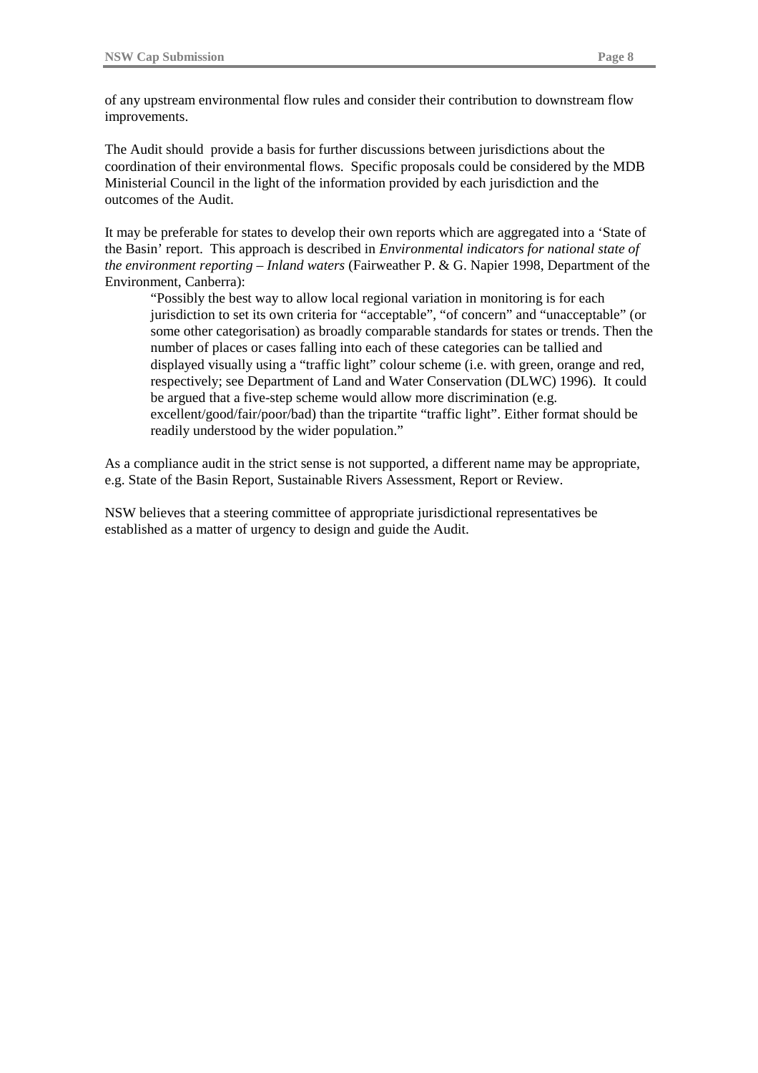of any upstream environmental flow rules and consider their contribution to downstream flow improvements.

The Audit should provide a basis for further discussions between jurisdictions about the coordination of their environmental flows. Specific proposals could be considered by the MDB Ministerial Council in the light of the information provided by each jurisdiction and the outcomes of the Audit.

It may be preferable for states to develop their own reports which are aggregated into a 'State of the Basin' report. This approach is described in *Environmental indicators for national state of the environment reporting – Inland waters* (Fairweather P. & G. Napier 1998, Department of the Environment, Canberra):

"Possibly the best way to allow local regional variation in monitoring is for each jurisdiction to set its own criteria for "acceptable", "of concern" and "unacceptable" (or some other categorisation) as broadly comparable standards for states or trends. Then the number of places or cases falling into each of these categories can be tallied and displayed visually using a "traffic light" colour scheme (i.e. with green, orange and red, respectively; see Department of Land and Water Conservation (DLWC) 1996). It could be argued that a five-step scheme would allow more discrimination (e.g. excellent/good/fair/poor/bad) than the tripartite "traffic light". Either format should be readily understood by the wider population."

As a compliance audit in the strict sense is not supported, a different name may be appropriate, e.g. State of the Basin Report, Sustainable Rivers Assessment, Report or Review.

NSW believes that a steering committee of appropriate jurisdictional representatives be established as a matter of urgency to design and guide the Audit.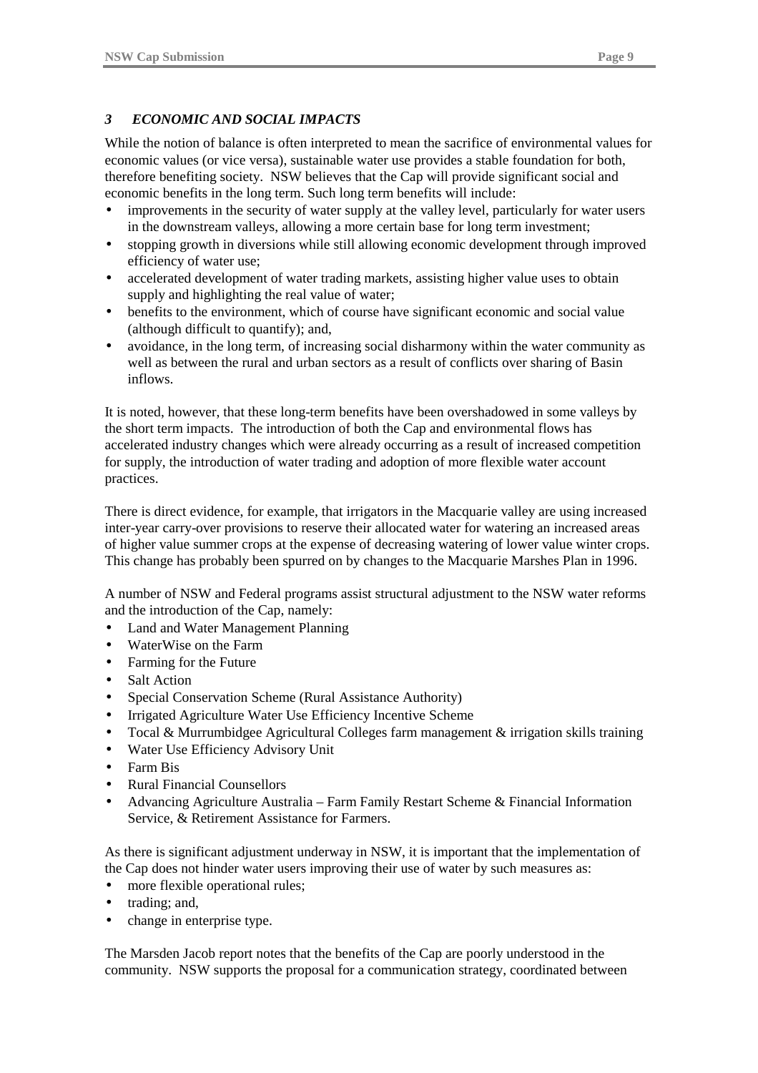## *3 ECONOMIC AND SOCIAL IMPACTS*

While the notion of balance is often interpreted to mean the sacrifice of environmental values for economic values (or vice versa), sustainable water use provides a stable foundation for both, therefore benefiting society. NSW believes that the Cap will provide significant social and economic benefits in the long term. Such long term benefits will include:

- improvements in the security of water supply at the valley level, particularly for water users in the downstream valleys, allowing a more certain base for long term investment;
- stopping growth in diversions while still allowing economic development through improved efficiency of water use;
- accelerated development of water trading markets, assisting higher value uses to obtain supply and highlighting the real value of water;
- benefits to the environment, which of course have significant economic and social value (although difficult to quantify); and,
- avoidance, in the long term, of increasing social disharmony within the water community as well as between the rural and urban sectors as a result of conflicts over sharing of Basin inflows.

It is noted, however, that these long-term benefits have been overshadowed in some valleys by the short term impacts. The introduction of both the Cap and environmental flows has accelerated industry changes which were already occurring as a result of increased competition for supply, the introduction of water trading and adoption of more flexible water account practices.

There is direct evidence, for example, that irrigators in the Macquarie valley are using increased inter-year carry-over provisions to reserve their allocated water for watering an increased areas of higher value summer crops at the expense of decreasing watering of lower value winter crops. This change has probably been spurred on by changes to the Macquarie Marshes Plan in 1996.

A number of NSW and Federal programs assist structural adjustment to the NSW water reforms and the introduction of the Cap, namely:

- Land and Water Management Planning
- WaterWise on the Farm
- Farming for the Future
- Salt Action
- Special Conservation Scheme (Rural Assistance Authority)
- Irrigated Agriculture Water Use Efficiency Incentive Scheme
- Tocal & Murrumbidgee Agricultural Colleges farm management & irrigation skills training
- Water Use Efficiency Advisory Unit
- Farm Bis
- Rural Financial Counsellors
- Advancing Agriculture Australia Farm Family Restart Scheme & Financial Information Service, & Retirement Assistance for Farmers.

As there is significant adjustment underway in NSW, it is important that the implementation of the Cap does not hinder water users improving their use of water by such measures as:

- more flexible operational rules;
- trading; and,
- change in enterprise type.

The Marsden Jacob report notes that the benefits of the Cap are poorly understood in the community. NSW supports the proposal for a communication strategy, coordinated between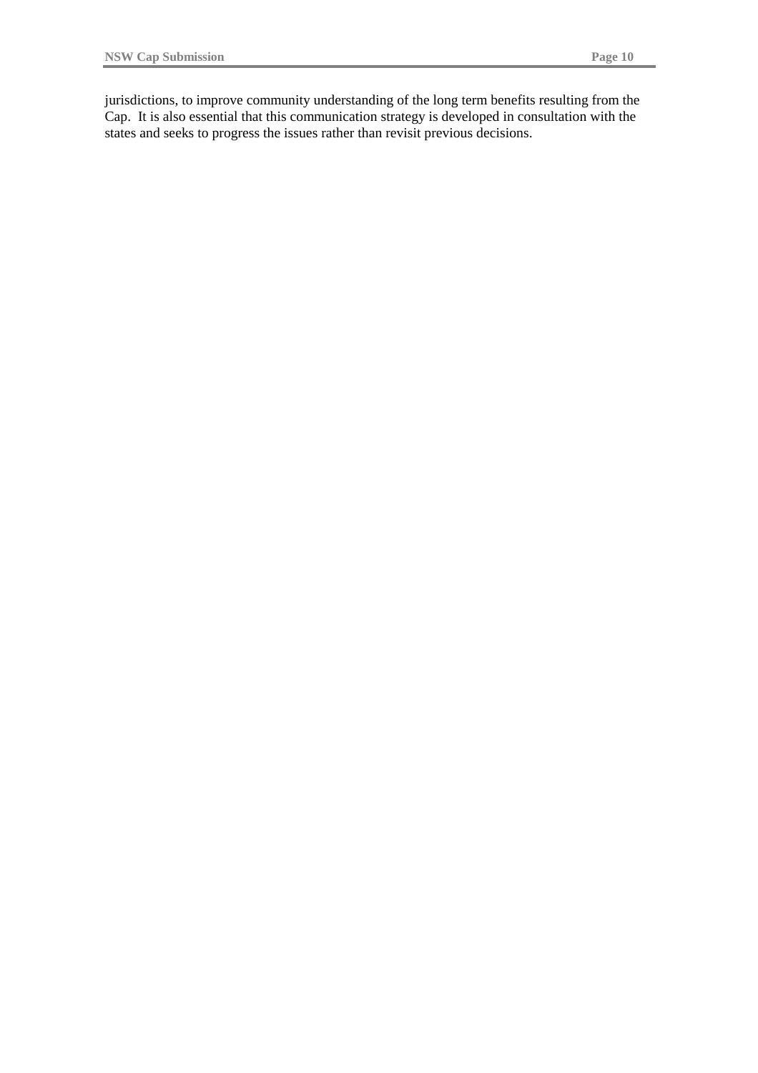jurisdictions, to improve community understanding of the long term benefits resulting from the Cap. It is also essential that this communication strategy is developed in consultation with the states and seeks to progress the issues rather than revisit previous decisions.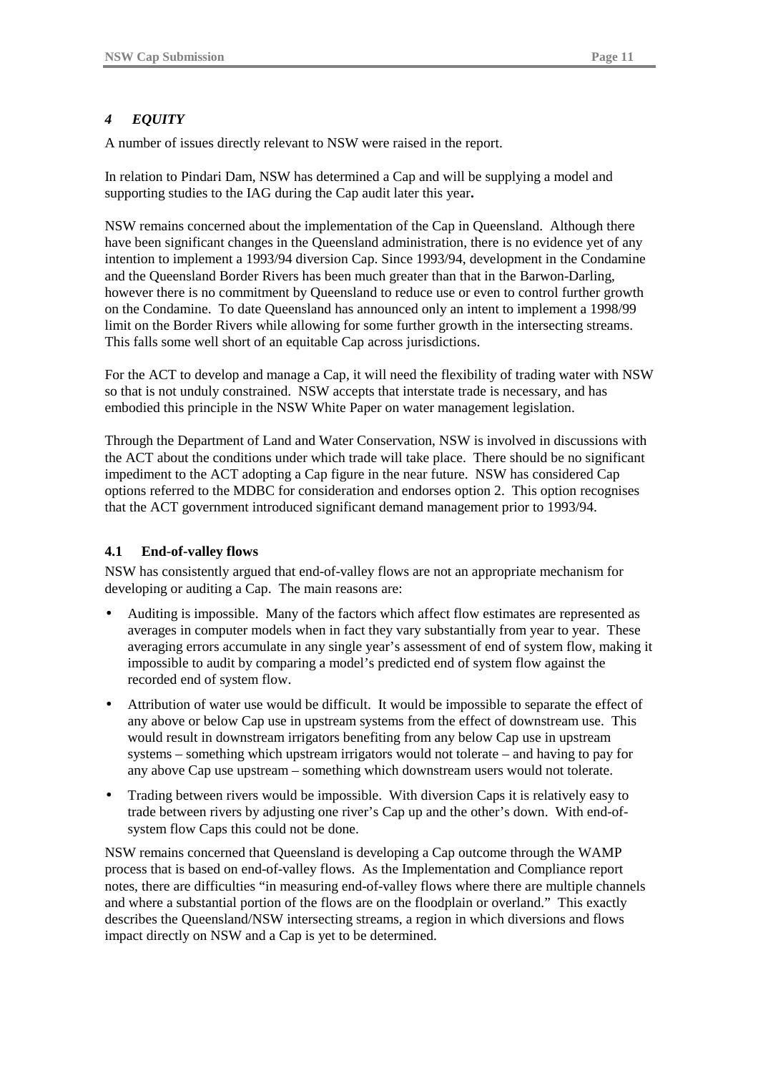## *4 EQUITY*

A number of issues directly relevant to NSW were raised in the report.

In relation to Pindari Dam, NSW has determined a Cap and will be supplying a model and supporting studies to the IAG during the Cap audit later this year**.**

NSW remains concerned about the implementation of the Cap in Queensland. Although there have been significant changes in the Queensland administration, there is no evidence yet of any intention to implement a 1993/94 diversion Cap. Since 1993/94, development in the Condamine and the Queensland Border Rivers has been much greater than that in the Barwon-Darling, however there is no commitment by Queensland to reduce use or even to control further growth on the Condamine. To date Queensland has announced only an intent to implement a 1998/99 limit on the Border Rivers while allowing for some further growth in the intersecting streams. This falls some well short of an equitable Cap across jurisdictions.

For the ACT to develop and manage a Cap, it will need the flexibility of trading water with NSW so that is not unduly constrained. NSW accepts that interstate trade is necessary, and has embodied this principle in the NSW White Paper on water management legislation.

Through the Department of Land and Water Conservation, NSW is involved in discussions with the ACT about the conditions under which trade will take place. There should be no significant impediment to the ACT adopting a Cap figure in the near future. NSW has considered Cap options referred to the MDBC for consideration and endorses option 2. This option recognises that the ACT government introduced significant demand management prior to 1993/94.

#### **4.1 End-of-valley flows**

NSW has consistently argued that end-of-valley flows are not an appropriate mechanism for developing or auditing a Cap. The main reasons are:

- Auditing is impossible. Many of the factors which affect flow estimates are represented as averages in computer models when in fact they vary substantially from year to year. These averaging errors accumulate in any single year's assessment of end of system flow, making it impossible to audit by comparing a model's predicted end of system flow against the recorded end of system flow.
- Attribution of water use would be difficult. It would be impossible to separate the effect of any above or below Cap use in upstream systems from the effect of downstream use. This would result in downstream irrigators benefiting from any below Cap use in upstream systems – something which upstream irrigators would not tolerate – and having to pay for any above Cap use upstream – something which downstream users would not tolerate.
- Trading between rivers would be impossible. With diversion Caps it is relatively easy to trade between rivers by adjusting one river's Cap up and the other's down. With end-ofsystem flow Caps this could not be done.

NSW remains concerned that Queensland is developing a Cap outcome through the WAMP process that is based on end-of-valley flows. As the Implementation and Compliance report notes, there are difficulties "in measuring end-of-valley flows where there are multiple channels and where a substantial portion of the flows are on the floodplain or overland." This exactly describes the Queensland/NSW intersecting streams, a region in which diversions and flows impact directly on NSW and a Cap is yet to be determined.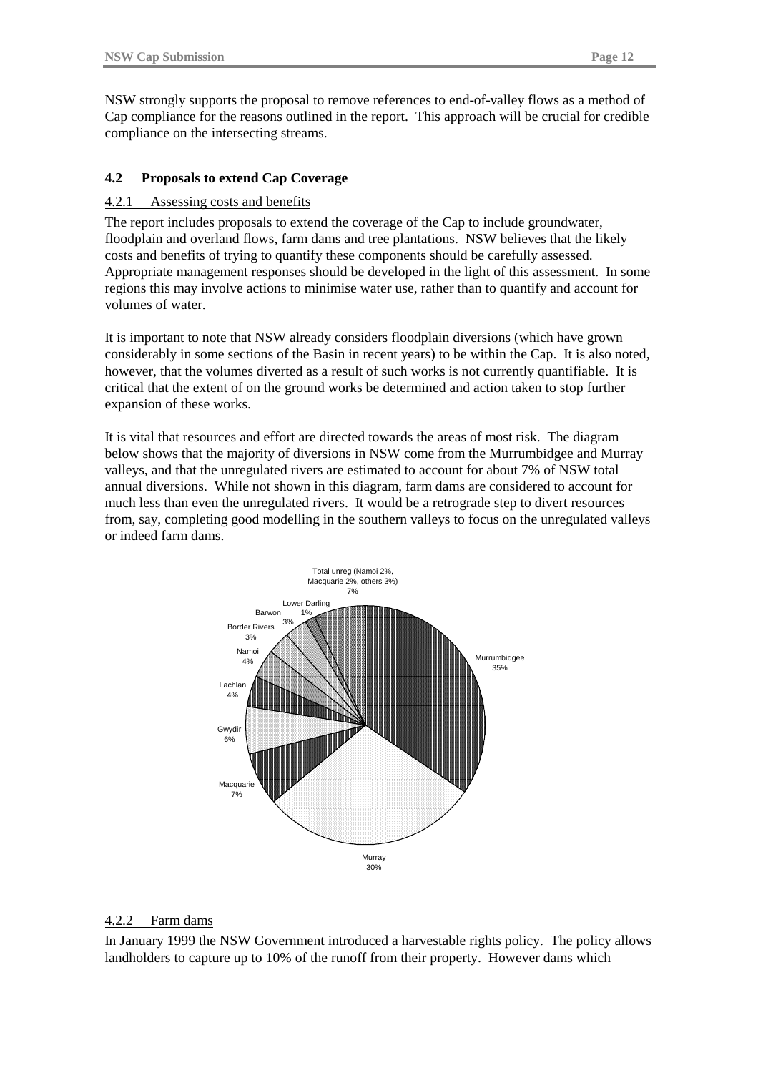NSW strongly supports the proposal to remove references to end-of-valley flows as a method of Cap compliance for the reasons outlined in the report. This approach will be crucial for credible compliance on the intersecting streams.

#### **4.2 Proposals to extend Cap Coverage**

#### 4.2.1 Assessing costs and benefits

The report includes proposals to extend the coverage of the Cap to include groundwater, floodplain and overland flows, farm dams and tree plantations. NSW believes that the likely costs and benefits of trying to quantify these components should be carefully assessed. Appropriate management responses should be developed in the light of this assessment. In some regions this may involve actions to minimise water use, rather than to quantify and account for volumes of water.

It is important to note that NSW already considers floodplain diversions (which have grown considerably in some sections of the Basin in recent years) to be within the Cap. It is also noted, however, that the volumes diverted as a result of such works is not currently quantifiable. It is critical that the extent of on the ground works be determined and action taken to stop further expansion of these works.

It is vital that resources and effort are directed towards the areas of most risk. The diagram below shows that the majority of diversions in NSW come from the Murrumbidgee and Murray valleys, and that the unregulated rivers are estimated to account for about 7% of NSW total annual diversions. While not shown in this diagram, farm dams are considered to account for much less than even the unregulated rivers. It would be a retrograde step to divert resources from, say, completing good modelling in the southern valleys to focus on the unregulated valleys or indeed farm dams.



#### 4.2.2 Farm dams

In January 1999 the NSW Government introduced a harvestable rights policy. The policy allows landholders to capture up to 10% of the runoff from their property. However dams which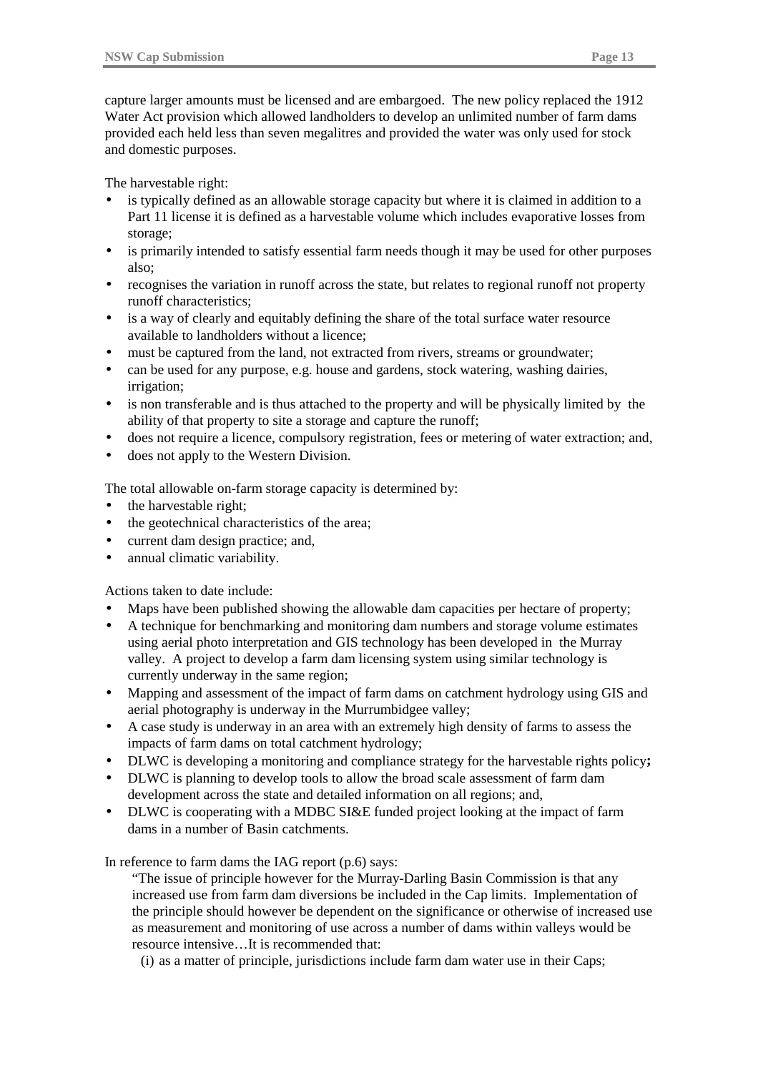capture larger amounts must be licensed and are embargoed. The new policy replaced the 1912 Water Act provision which allowed landholders to develop an unlimited number of farm dams provided each held less than seven megalitres and provided the water was only used for stock and domestic purposes.

The harvestable right:

- is typically defined as an allowable storage capacity but where it is claimed in addition to a Part 11 license it is defined as a harvestable volume which includes evaporative losses from storage;
- is primarily intended to satisfy essential farm needs though it may be used for other purposes also;
- recognises the variation in runoff across the state, but relates to regional runoff not property runoff characteristics;
- is a way of clearly and equitably defining the share of the total surface water resource available to landholders without a licence;
- must be captured from the land, not extracted from rivers, streams or groundwater;
- can be used for any purpose, e.g. house and gardens, stock watering, washing dairies, irrigation;
- is non transferable and is thus attached to the property and will be physically limited by the ability of that property to site a storage and capture the runoff;
- does not require a licence, compulsory registration, fees or metering of water extraction; and,
- does not apply to the Western Division.

The total allowable on-farm storage capacity is determined by:

- the harvestable right;
- the geotechnical characteristics of the area;
- current dam design practice; and,
- annual climatic variability.

Actions taken to date include:

- Maps have been published showing the allowable dam capacities per hectare of property;
- A technique for benchmarking and monitoring dam numbers and storage volume estimates using aerial photo interpretation and GIS technology has been developed in the Murray valley. A project to develop a farm dam licensing system using similar technology is currently underway in the same region;
- Mapping and assessment of the impact of farm dams on catchment hydrology using GIS and aerial photography is underway in the Murrumbidgee valley;
- A case study is underway in an area with an extremely high density of farms to assess the impacts of farm dams on total catchment hydrology;
- DLWC is developing a monitoring and compliance strategy for the harvestable rights policy**;**
- DLWC is planning to develop tools to allow the broad scale assessment of farm dam development across the state and detailed information on all regions; and,
- DLWC is cooperating with a MDBC SI&E funded project looking at the impact of farm dams in a number of Basin catchments.

In reference to farm dams the IAG report (p.6) says:

"The issue of principle however for the Murray-Darling Basin Commission is that any increased use from farm dam diversions be included in the Cap limits. Implementation of the principle should however be dependent on the significance or otherwise of increased use as measurement and monitoring of use across a number of dams within valleys would be resource intensive…It is recommended that:

(i) as a matter of principle, jurisdictions include farm dam water use in their Caps;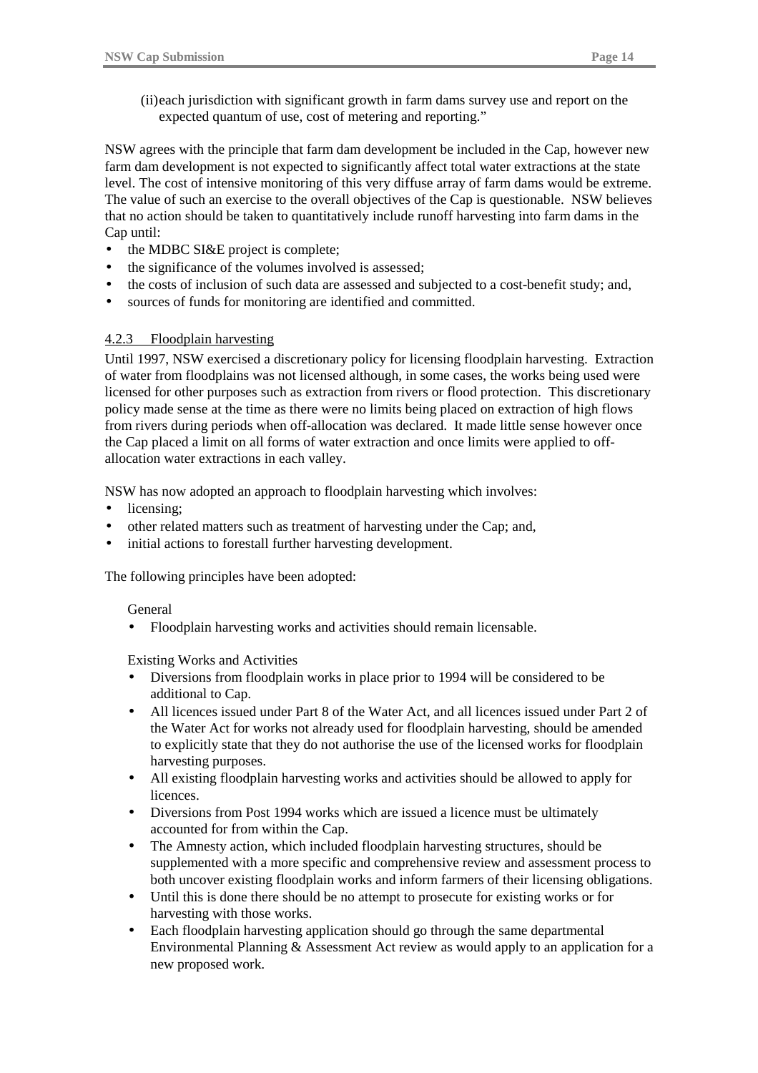(ii)each jurisdiction with significant growth in farm dams survey use and report on the expected quantum of use, cost of metering and reporting."

NSW agrees with the principle that farm dam development be included in the Cap, however new farm dam development is not expected to significantly affect total water extractions at the state level. The cost of intensive monitoring of this very diffuse array of farm dams would be extreme. The value of such an exercise to the overall objectives of the Cap is questionable. NSW believes that no action should be taken to quantitatively include runoff harvesting into farm dams in the Cap until:

- the MDBC SI&E project is complete;
- the significance of the volumes involved is assessed;
- the costs of inclusion of such data are assessed and subjected to a cost-benefit study; and,
- sources of funds for monitoring are identified and committed.

## 4.2.3 Floodplain harvesting

Until 1997, NSW exercised a discretionary policy for licensing floodplain harvesting. Extraction of water from floodplains was not licensed although, in some cases, the works being used were licensed for other purposes such as extraction from rivers or flood protection. This discretionary policy made sense at the time as there were no limits being placed on extraction of high flows from rivers during periods when off-allocation was declared. It made little sense however once the Cap placed a limit on all forms of water extraction and once limits were applied to offallocation water extractions in each valley.

NSW has now adopted an approach to floodplain harvesting which involves:

- licensing:
- other related matters such as treatment of harvesting under the Cap; and,
- initial actions to forestall further harvesting development.

The following principles have been adopted:

#### General

• Floodplain harvesting works and activities should remain licensable.

Existing Works and Activities

- Diversions from floodplain works in place prior to 1994 will be considered to be additional to Cap.
- All licences issued under Part 8 of the Water Act, and all licences issued under Part 2 of the Water Act for works not already used for floodplain harvesting, should be amended to explicitly state that they do not authorise the use of the licensed works for floodplain harvesting purposes.
- All existing floodplain harvesting works and activities should be allowed to apply for licences.
- Diversions from Post 1994 works which are issued a licence must be ultimately accounted for from within the Cap.
- The Amnesty action, which included floodplain harvesting structures, should be supplemented with a more specific and comprehensive review and assessment process to both uncover existing floodplain works and inform farmers of their licensing obligations.
- Until this is done there should be no attempt to prosecute for existing works or for harvesting with those works.
- Each floodplain harvesting application should go through the same departmental Environmental Planning & Assessment Act review as would apply to an application for a new proposed work.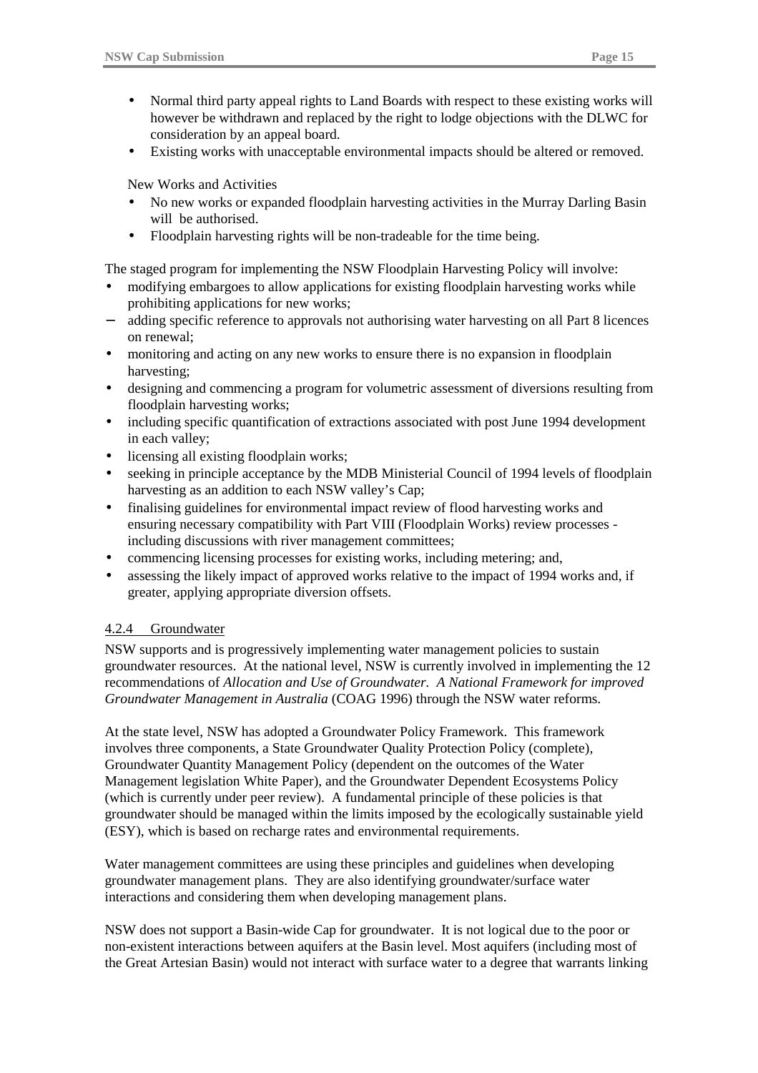- Normal third party appeal rights to Land Boards with respect to these existing works will however be withdrawn and replaced by the right to lodge objections with the DLWC for consideration by an appeal board.
- Existing works with unacceptable environmental impacts should be altered or removed.

New Works and Activities

- No new works or expanded floodplain harvesting activities in the Murray Darling Basin will be authorised.
- Floodplain harvesting rights will be non-tradeable for the time being.

The staged program for implementing the NSW Floodplain Harvesting Policy will involve:

- modifying embargoes to allow applications for existing floodplain harvesting works while prohibiting applications for new works;
- adding specific reference to approvals not authorising water harvesting on all Part 8 licences on renewal;
- monitoring and acting on any new works to ensure there is no expansion in floodplain harvesting;
- designing and commencing a program for volumetric assessment of diversions resulting from floodplain harvesting works;
- including specific quantification of extractions associated with post June 1994 development in each valley;
- licensing all existing floodplain works;
- seeking in principle acceptance by the MDB Ministerial Council of 1994 levels of floodplain harvesting as an addition to each NSW valley's Cap;
- finalising guidelines for environmental impact review of flood harvesting works and ensuring necessary compatibility with Part VIII (Floodplain Works) review processes including discussions with river management committees;
- commencing licensing processes for existing works, including metering; and,
- assessing the likely impact of approved works relative to the impact of 1994 works and, if greater, applying appropriate diversion offsets.

## 4.2.4 Groundwater

NSW supports and is progressively implementing water management policies to sustain groundwater resources. At the national level, NSW is currently involved in implementing the 12 recommendations of *Allocation and Use of Groundwater. A National Framework for improved Groundwater Management in Australia* (COAG 1996) through the NSW water reforms.

At the state level, NSW has adopted a Groundwater Policy Framework. This framework involves three components, a State Groundwater Quality Protection Policy (complete), Groundwater Quantity Management Policy (dependent on the outcomes of the Water Management legislation White Paper), and the Groundwater Dependent Ecosystems Policy (which is currently under peer review). A fundamental principle of these policies is that groundwater should be managed within the limits imposed by the ecologically sustainable yield (ESY), which is based on recharge rates and environmental requirements.

Water management committees are using these principles and guidelines when developing groundwater management plans. They are also identifying groundwater/surface water interactions and considering them when developing management plans.

NSW does not support a Basin-wide Cap for groundwater. It is not logical due to the poor or non-existent interactions between aquifers at the Basin level. Most aquifers (including most of the Great Artesian Basin) would not interact with surface water to a degree that warrants linking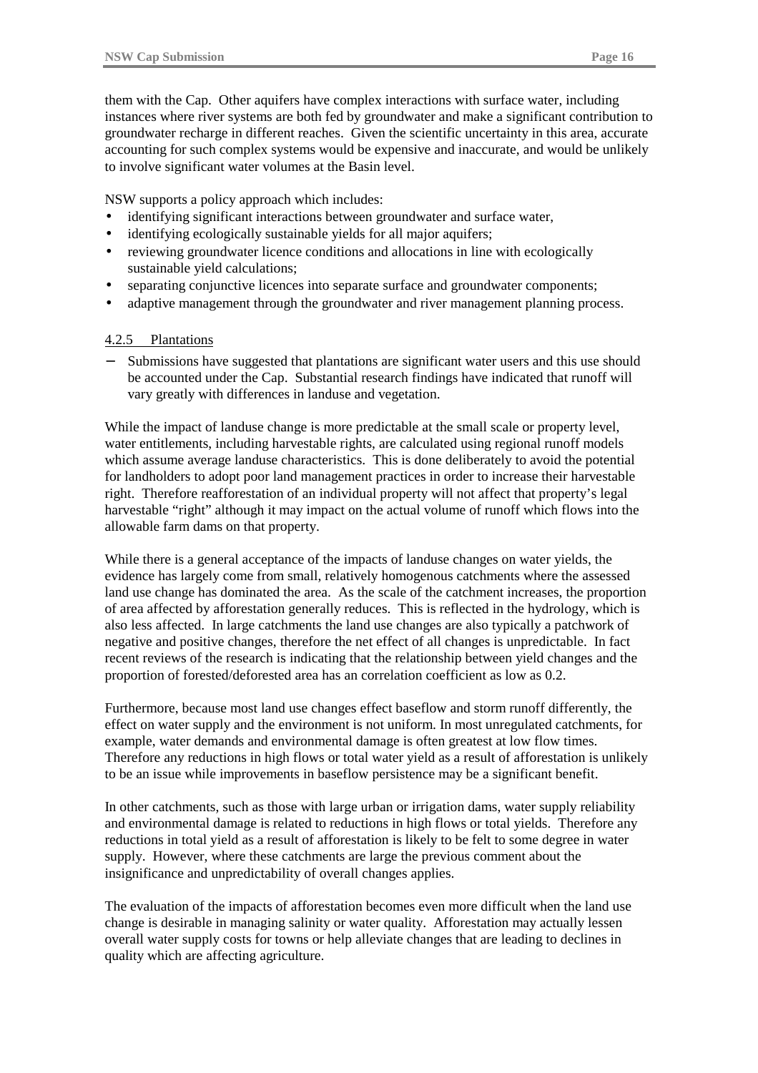them with the Cap. Other aquifers have complex interactions with surface water, including instances where river systems are both fed by groundwater and make a significant contribution to groundwater recharge in different reaches. Given the scientific uncertainty in this area, accurate accounting for such complex systems would be expensive and inaccurate, and would be unlikely to involve significant water volumes at the Basin level.

NSW supports a policy approach which includes:

- identifying significant interactions between groundwater and surface water,
- identifying ecologically sustainable yields for all major aquifers;
- reviewing groundwater licence conditions and allocations in line with ecologically sustainable yield calculations;
- separating conjunctive licences into separate surface and groundwater components;
- adaptive management through the groundwater and river management planning process.

#### 4.2.5 Plantations

Submissions have suggested that plantations are significant water users and this use should be accounted under the Cap. Substantial research findings have indicated that runoff will vary greatly with differences in landuse and vegetation.

While the impact of landuse change is more predictable at the small scale or property level, water entitlements, including harvestable rights, are calculated using regional runoff models which assume average landuse characteristics. This is done deliberately to avoid the potential for landholders to adopt poor land management practices in order to increase their harvestable right. Therefore reafforestation of an individual property will not affect that property's legal harvestable "right" although it may impact on the actual volume of runoff which flows into the allowable farm dams on that property.

While there is a general acceptance of the impacts of landuse changes on water yields, the evidence has largely come from small, relatively homogenous catchments where the assessed land use change has dominated the area. As the scale of the catchment increases, the proportion of area affected by afforestation generally reduces. This is reflected in the hydrology, which is also less affected. In large catchments the land use changes are also typically a patchwork of negative and positive changes, therefore the net effect of all changes is unpredictable. In fact recent reviews of the research is indicating that the relationship between yield changes and the proportion of forested/deforested area has an correlation coefficient as low as 0.2.

Furthermore, because most land use changes effect baseflow and storm runoff differently, the effect on water supply and the environment is not uniform. In most unregulated catchments, for example, water demands and environmental damage is often greatest at low flow times. Therefore any reductions in high flows or total water yield as a result of afforestation is unlikely to be an issue while improvements in baseflow persistence may be a significant benefit.

In other catchments, such as those with large urban or irrigation dams, water supply reliability and environmental damage is related to reductions in high flows or total yields. Therefore any reductions in total yield as a result of afforestation is likely to be felt to some degree in water supply. However, where these catchments are large the previous comment about the insignificance and unpredictability of overall changes applies.

The evaluation of the impacts of afforestation becomes even more difficult when the land use change is desirable in managing salinity or water quality. Afforestation may actually lessen overall water supply costs for towns or help alleviate changes that are leading to declines in quality which are affecting agriculture.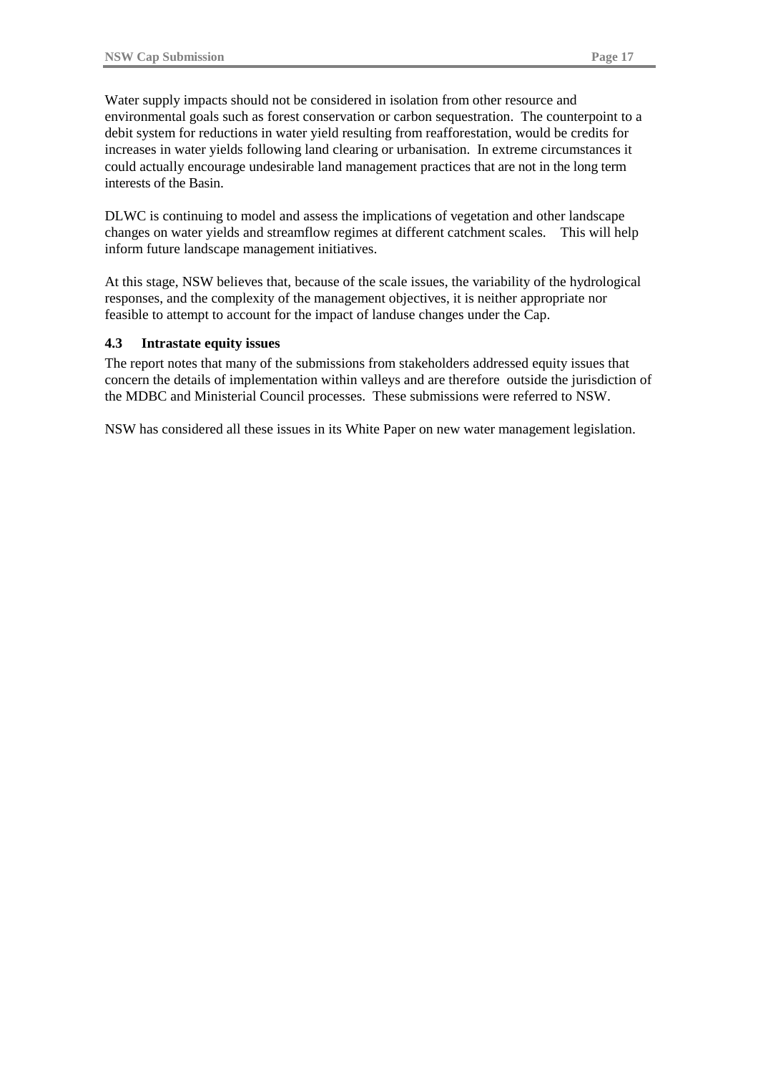Water supply impacts should not be considered in isolation from other resource and environmental goals such as forest conservation or carbon sequestration. The counterpoint to a debit system for reductions in water yield resulting from reafforestation, would be credits for increases in water yields following land clearing or urbanisation. In extreme circumstances it could actually encourage undesirable land management practices that are not in the long term interests of the Basin.

DLWC is continuing to model and assess the implications of vegetation and other landscape changes on water yields and streamflow regimes at different catchment scales. This will help inform future landscape management initiatives.

At this stage, NSW believes that, because of the scale issues, the variability of the hydrological responses, and the complexity of the management objectives, it is neither appropriate nor feasible to attempt to account for the impact of landuse changes under the Cap.

#### **4.3 Intrastate equity issues**

The report notes that many of the submissions from stakeholders addressed equity issues that concern the details of implementation within valleys and are therefore outside the jurisdiction of the MDBC and Ministerial Council processes. These submissions were referred to NSW.

NSW has considered all these issues in its White Paper on new water management legislation.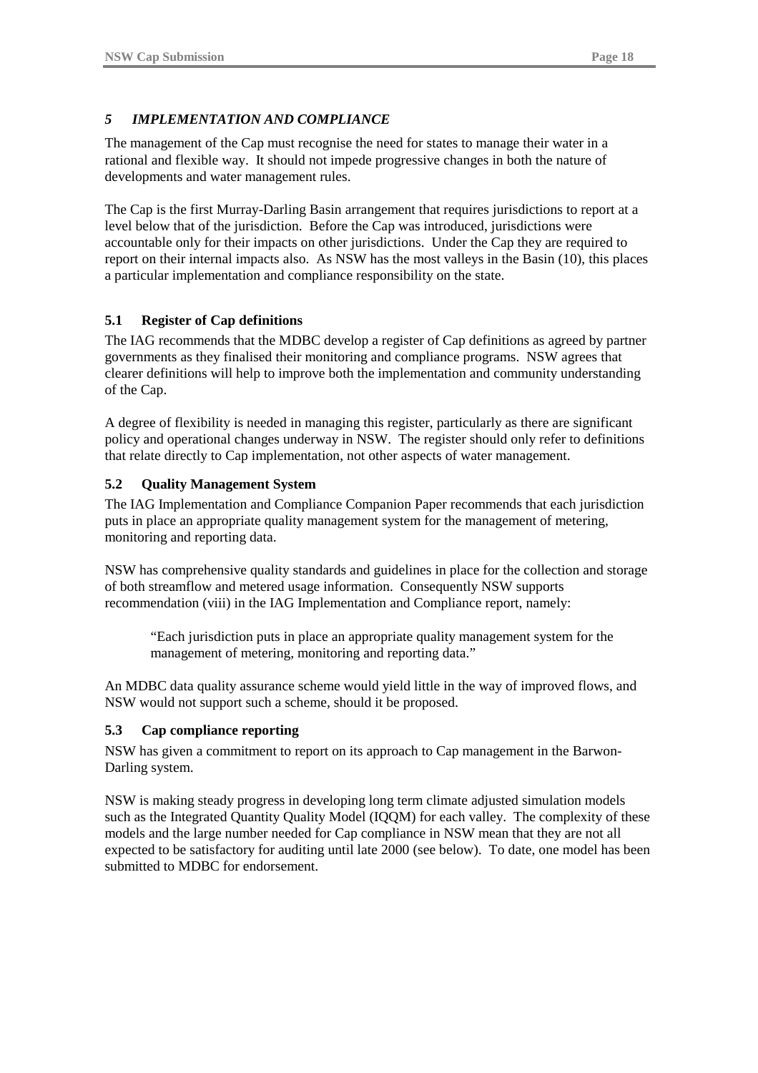## *5 IMPLEMENTATION AND COMPLIANCE*

The management of the Cap must recognise the need for states to manage their water in a rational and flexible way. It should not impede progressive changes in both the nature of developments and water management rules.

The Cap is the first Murray-Darling Basin arrangement that requires jurisdictions to report at a level below that of the jurisdiction. Before the Cap was introduced, jurisdictions were accountable only for their impacts on other jurisdictions. Under the Cap they are required to report on their internal impacts also. As NSW has the most valleys in the Basin (10), this places a particular implementation and compliance responsibility on the state.

#### **5.1 Register of Cap definitions**

The IAG recommends that the MDBC develop a register of Cap definitions as agreed by partner governments as they finalised their monitoring and compliance programs. NSW agrees that clearer definitions will help to improve both the implementation and community understanding of the Cap.

A degree of flexibility is needed in managing this register, particularly as there are significant policy and operational changes underway in NSW. The register should only refer to definitions that relate directly to Cap implementation, not other aspects of water management.

#### **5.2 Quality Management System**

The IAG Implementation and Compliance Companion Paper recommends that each jurisdiction puts in place an appropriate quality management system for the management of metering, monitoring and reporting data.

NSW has comprehensive quality standards and guidelines in place for the collection and storage of both streamflow and metered usage information. Consequently NSW supports recommendation (viii) in the IAG Implementation and Compliance report, namely:

"Each jurisdiction puts in place an appropriate quality management system for the management of metering, monitoring and reporting data."

An MDBC data quality assurance scheme would yield little in the way of improved flows, and NSW would not support such a scheme, should it be proposed.

#### **5.3 Cap compliance reporting**

NSW has given a commitment to report on its approach to Cap management in the Barwon-Darling system.

NSW is making steady progress in developing long term climate adjusted simulation models such as the Integrated Quantity Quality Model (IQQM) for each valley. The complexity of these models and the large number needed for Cap compliance in NSW mean that they are not all expected to be satisfactory for auditing until late 2000 (see below). To date, one model has been submitted to MDBC for endorsement.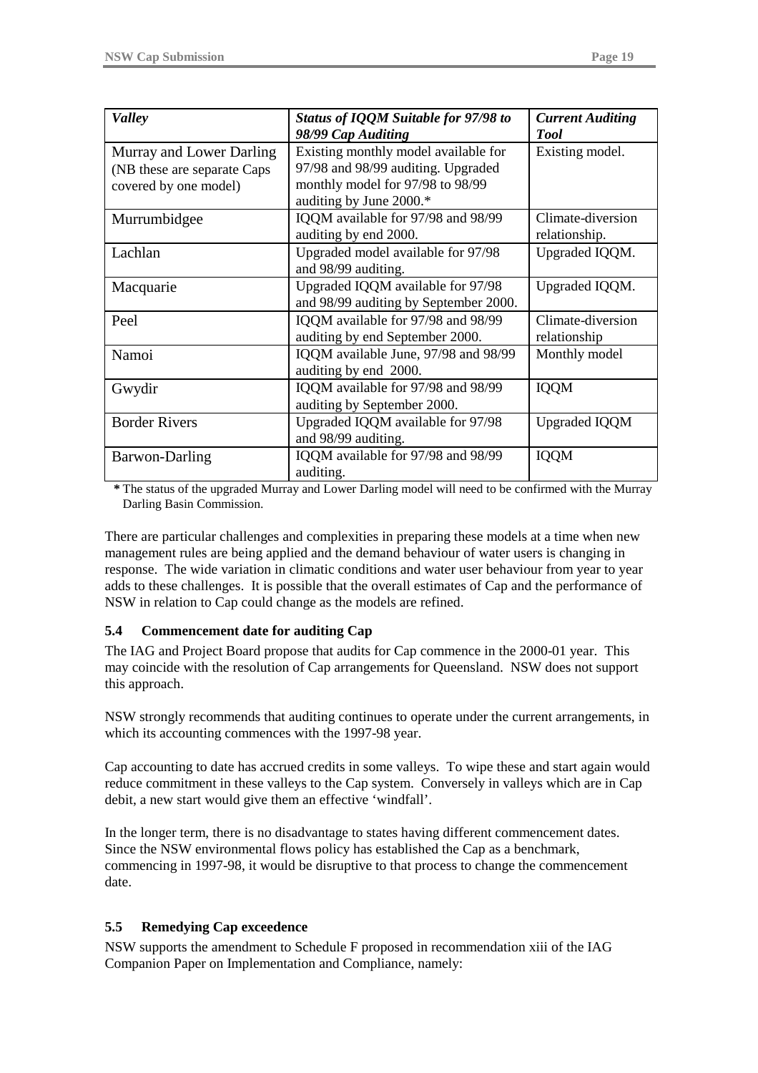| <b>Valley</b>                | Status of IQQM Suitable for 97/98 to  | <b>Current Auditing</b> |
|------------------------------|---------------------------------------|-------------------------|
|                              | 98/99 Cap Auditing                    | <b>Tool</b>             |
|                              | Existing monthly model available for  |                         |
| Murray and Lower Darling     |                                       | Existing model.         |
| (NB these are separate Caps) | 97/98 and 98/99 auditing. Upgraded    |                         |
| covered by one model)        | monthly model for 97/98 to 98/99      |                         |
|                              | auditing by June 2000.*               |                         |
| Murrumbidgee                 | IQQM available for 97/98 and 98/99    | Climate-diversion       |
|                              | auditing by end 2000.                 | relationship.           |
| Lachlan                      | Upgraded model available for 97/98    | Upgraded IQQM.          |
|                              | and 98/99 auditing.                   |                         |
| Macquarie                    | Upgraded IQQM available for 97/98     | Upgraded IQQM.          |
|                              | and 98/99 auditing by September 2000. |                         |
| Peel                         | IQQM available for 97/98 and 98/99    | Climate-diversion       |
|                              | auditing by end September 2000.       | relationship            |
| Namoi                        | IQQM available June, 97/98 and 98/99  | Monthly model           |
|                              | auditing by end 2000.                 |                         |
| Gwydir                       | IQQM available for 97/98 and 98/99    | <b>IQQM</b>             |
|                              | auditing by September 2000.           |                         |
| <b>Border Rivers</b>         | Upgraded IQQM available for 97/98     | <b>Upgraded IQQM</b>    |
|                              | and 98/99 auditing.                   |                         |
| <b>Barwon-Darling</b>        | IQQM available for 97/98 and 98/99    | <b>IQQM</b>             |
|                              | auditing.                             |                         |

**\*** The status of the upgraded Murray and Lower Darling model will need to be confirmed with the Murray Darling Basin Commission.

There are particular challenges and complexities in preparing these models at a time when new management rules are being applied and the demand behaviour of water users is changing in response. The wide variation in climatic conditions and water user behaviour from year to year adds to these challenges. It is possible that the overall estimates of Cap and the performance of NSW in relation to Cap could change as the models are refined.

#### **5.4 Commencement date for auditing Cap**

The IAG and Project Board propose that audits for Cap commence in the 2000-01 year. This may coincide with the resolution of Cap arrangements for Queensland. NSW does not support this approach.

NSW strongly recommends that auditing continues to operate under the current arrangements, in which its accounting commences with the 1997-98 year.

Cap accounting to date has accrued credits in some valleys. To wipe these and start again would reduce commitment in these valleys to the Cap system. Conversely in valleys which are in Cap debit, a new start would give them an effective 'windfall'.

In the longer term, there is no disadvantage to states having different commencement dates. Since the NSW environmental flows policy has established the Cap as a benchmark, commencing in 1997-98, it would be disruptive to that process to change the commencement date.

## **5.5 Remedying Cap exceedence**

NSW supports the amendment to Schedule F proposed in recommendation xiii of the IAG Companion Paper on Implementation and Compliance, namely: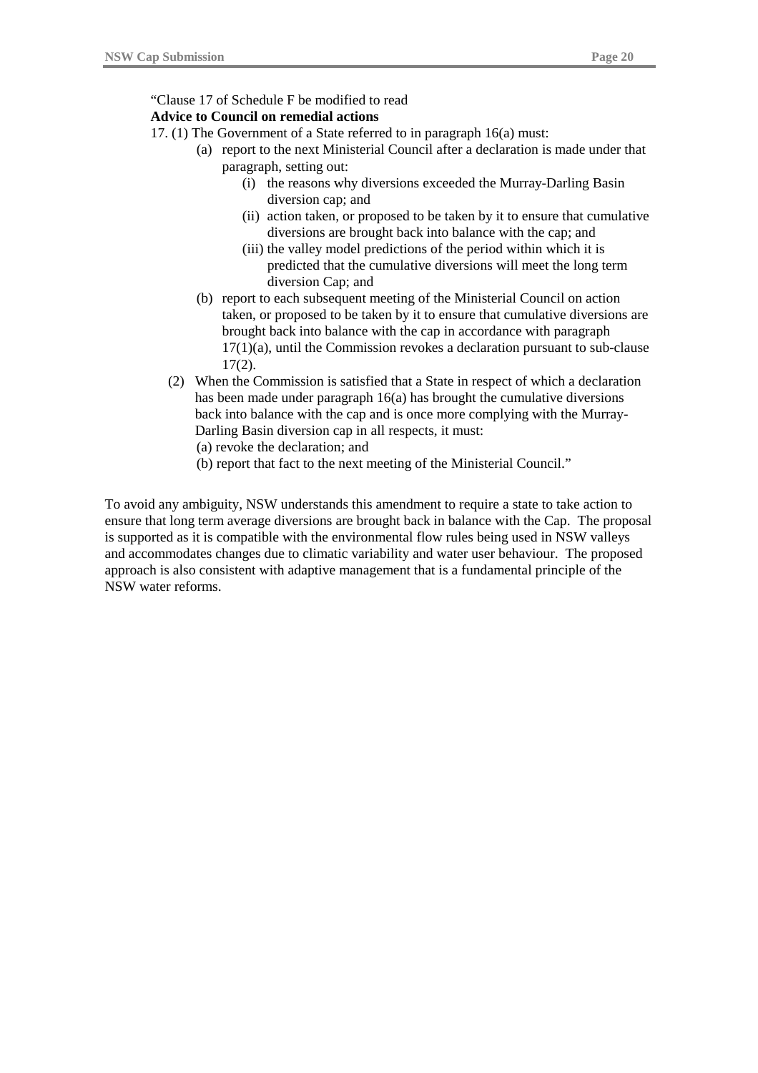#### "Clause 17 of Schedule F be modified to read

#### **Advice to Council on remedial actions**

- 17. (1) The Government of a State referred to in paragraph 16(a) must:
	- (a) report to the next Ministerial Council after a declaration is made under that paragraph, setting out:
		- (i) the reasons why diversions exceeded the Murray-Darling Basin diversion cap; and
		- (ii) action taken, or proposed to be taken by it to ensure that cumulative diversions are brought back into balance with the cap; and
		- (iii) the valley model predictions of the period within which it is predicted that the cumulative diversions will meet the long term diversion Cap; and
		- (b) report to each subsequent meeting of the Ministerial Council on action taken, or proposed to be taken by it to ensure that cumulative diversions are brought back into balance with the cap in accordance with paragraph 17(1)(a), until the Commission revokes a declaration pursuant to sub-clause 17(2).
	- (2) When the Commission is satisfied that a State in respect of which a declaration has been made under paragraph 16(a) has brought the cumulative diversions back into balance with the cap and is once more complying with the Murray-Darling Basin diversion cap in all respects, it must:
		- (a) revoke the declaration; and
		- (b) report that fact to the next meeting of the Ministerial Council."

To avoid any ambiguity, NSW understands this amendment to require a state to take action to ensure that long term average diversions are brought back in balance with the Cap. The proposal is supported as it is compatible with the environmental flow rules being used in NSW valleys and accommodates changes due to climatic variability and water user behaviour. The proposed approach is also consistent with adaptive management that is a fundamental principle of the NSW water reforms.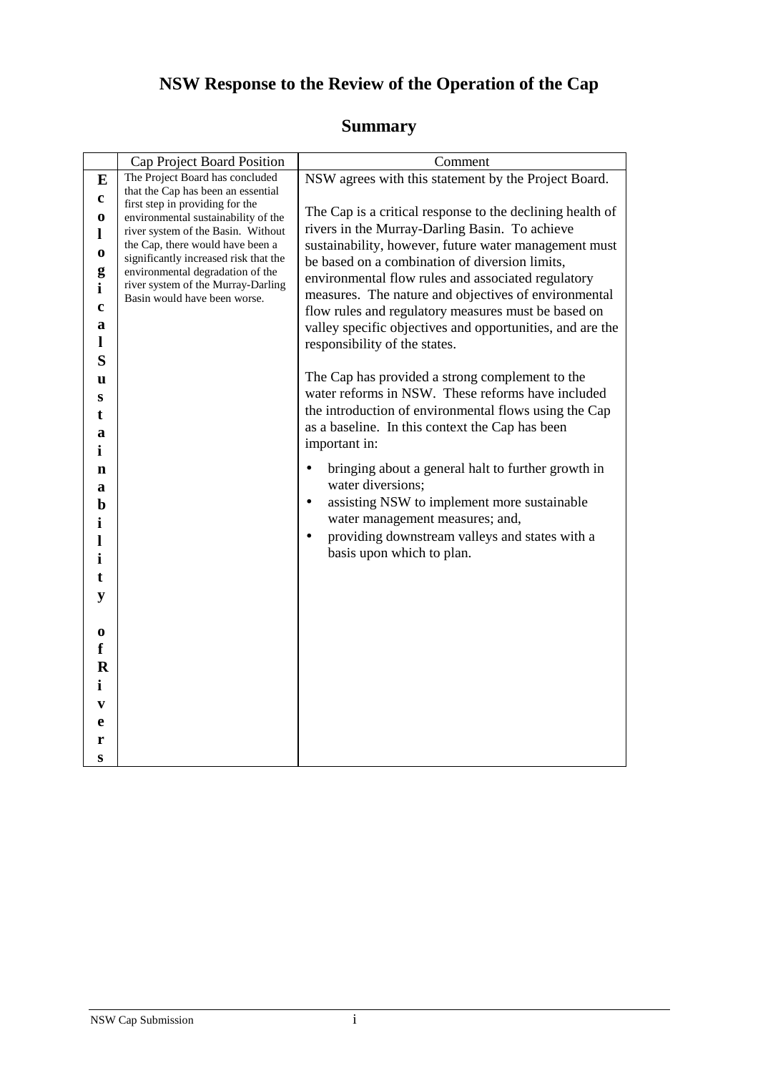# **NSW Response to the Review of the Operation of the Cap**

## **Summary**

|                                                                         |                                                                                                                                                                                                                                                                                                                                                                                                            | Comment                                                                                                                                                                                                                                                                                                                                                                                                                                                                                                          |
|-------------------------------------------------------------------------|------------------------------------------------------------------------------------------------------------------------------------------------------------------------------------------------------------------------------------------------------------------------------------------------------------------------------------------------------------------------------------------------------------|------------------------------------------------------------------------------------------------------------------------------------------------------------------------------------------------------------------------------------------------------------------------------------------------------------------------------------------------------------------------------------------------------------------------------------------------------------------------------------------------------------------|
| E<br>c<br>0<br>l<br>0<br>g<br>i<br>c<br>a                               | Cap Project Board Position<br>The Project Board has concluded<br>that the Cap has been an essential<br>first step in providing for the<br>environmental sustainability of the<br>river system of the Basin. Without<br>the Cap, there would have been a<br>significantly increased risk that the<br>environmental degradation of the<br>river system of the Murray-Darling<br>Basin would have been worse. | NSW agrees with this statement by the Project Board.<br>The Cap is a critical response to the declining health of<br>rivers in the Murray-Darling Basin. To achieve<br>sustainability, however, future water management must<br>be based on a combination of diversion limits,<br>environmental flow rules and associated regulatory<br>measures. The nature and objectives of environmental<br>flow rules and regulatory measures must be based on<br>valley specific objectives and opportunities, and are the |
| 1<br>S<br>u<br>S<br>t<br>a<br>i<br>$\mathbf n$<br>a<br>b                |                                                                                                                                                                                                                                                                                                                                                                                                            | responsibility of the states.<br>The Cap has provided a strong complement to the<br>water reforms in NSW. These reforms have included<br>the introduction of environmental flows using the Cap<br>as a baseline. In this context the Cap has been<br>important in:<br>bringing about a general halt to further growth in<br>$\bullet$<br>water diversions;<br>assisting NSW to implement more sustainable<br>$\bullet$                                                                                           |
| $\mathbf i$<br>l<br>i<br>t<br>y<br>0<br>f<br>$\mathbf R$<br>i<br>V<br>e |                                                                                                                                                                                                                                                                                                                                                                                                            | water management measures; and,<br>providing downstream valleys and states with a<br>basis upon which to plan.                                                                                                                                                                                                                                                                                                                                                                                                   |
| r<br>S                                                                  |                                                                                                                                                                                                                                                                                                                                                                                                            |                                                                                                                                                                                                                                                                                                                                                                                                                                                                                                                  |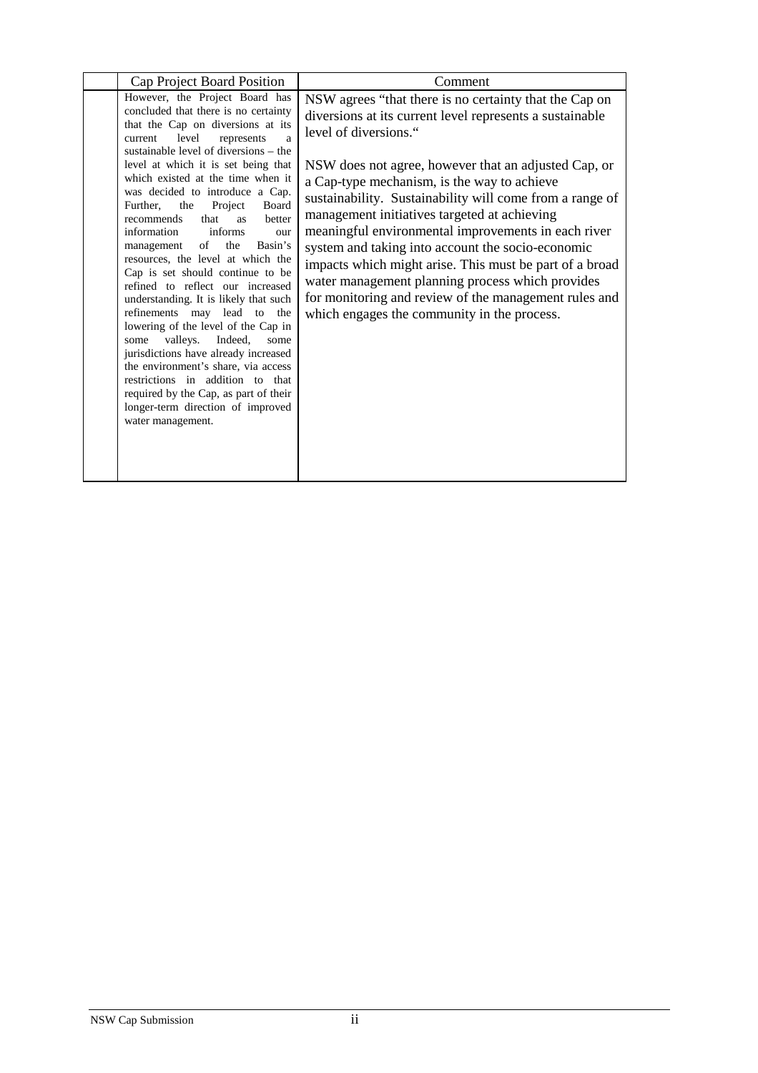| Cap Project Board Position                                                                                                                                                                                                                                                                                                                                                                                                                                                                                                                                                                                                                                                                                                                                                                                                                                                                                                                                  | Comment                                                                                                                                                                                                                                                                                                                                                                                                                                                                                                                                                                                                                                                                                           |
|-------------------------------------------------------------------------------------------------------------------------------------------------------------------------------------------------------------------------------------------------------------------------------------------------------------------------------------------------------------------------------------------------------------------------------------------------------------------------------------------------------------------------------------------------------------------------------------------------------------------------------------------------------------------------------------------------------------------------------------------------------------------------------------------------------------------------------------------------------------------------------------------------------------------------------------------------------------|---------------------------------------------------------------------------------------------------------------------------------------------------------------------------------------------------------------------------------------------------------------------------------------------------------------------------------------------------------------------------------------------------------------------------------------------------------------------------------------------------------------------------------------------------------------------------------------------------------------------------------------------------------------------------------------------------|
| However, the Project Board has<br>concluded that there is no certainty<br>that the Cap on diversions at its<br>current<br>level<br>represents<br>a<br>sustainable level of diversions – the<br>level at which it is set being that<br>which existed at the time when it<br>was decided to introduce a Cap.<br>Further, the<br>Project<br>Board<br>better<br>recommends<br>that<br><b>as</b><br>information<br>informs<br>our<br>of<br>Basin's<br>the<br>management<br>resources, the level at which the<br>Cap is set should continue to be<br>refined to reflect our increased<br>understanding. It is likely that such<br>refinements may lead to the<br>lowering of the level of the Cap in<br>valleys.<br>Indeed,<br>some<br>some<br>jurisdictions have already increased<br>the environment's share, via access<br>restrictions in addition to that<br>required by the Cap, as part of their<br>longer-term direction of improved<br>water management. | NSW agrees "that there is no certainty that the Cap on<br>diversions at its current level represents a sustainable<br>level of diversions."<br>NSW does not agree, however that an adjusted Cap, or<br>a Cap-type mechanism, is the way to achieve<br>sustainability. Sustainability will come from a range of<br>management initiatives targeted at achieving<br>meaningful environmental improvements in each river<br>system and taking into account the socio-economic<br>impacts which might arise. This must be part of a broad<br>water management planning process which provides<br>for monitoring and review of the management rules and<br>which engages the community in the process. |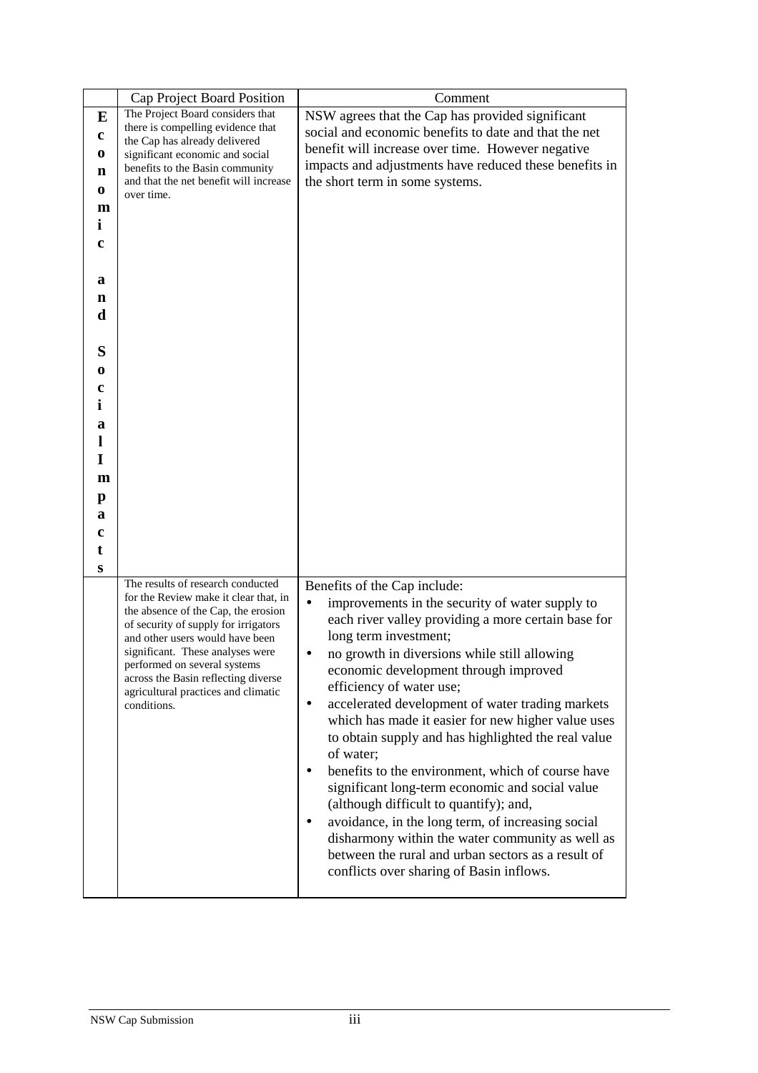|    | Cap Project Board Position                                                   | Comment                                                        |
|----|------------------------------------------------------------------------------|----------------------------------------------------------------|
| E  | The Project Board considers that                                             | NSW agrees that the Cap has provided significant               |
|    | there is compelling evidence that                                            | social and economic benefits to date and that the net          |
| c  | the Cap has already delivered                                                | benefit will increase over time. However negative              |
| 0  | significant economic and social                                              | impacts and adjustments have reduced these benefits in         |
| n  | benefits to the Basin community                                              |                                                                |
| 0  | and that the net benefit will increase<br>over time.                         | the short term in some systems.                                |
| m  |                                                                              |                                                                |
| İ. |                                                                              |                                                                |
|    |                                                                              |                                                                |
| c  |                                                                              |                                                                |
|    |                                                                              |                                                                |
| a  |                                                                              |                                                                |
| n  |                                                                              |                                                                |
| d  |                                                                              |                                                                |
|    |                                                                              |                                                                |
| S  |                                                                              |                                                                |
|    |                                                                              |                                                                |
| 0  |                                                                              |                                                                |
| c  |                                                                              |                                                                |
| i  |                                                                              |                                                                |
| a  |                                                                              |                                                                |
| 1  |                                                                              |                                                                |
| I  |                                                                              |                                                                |
| m  |                                                                              |                                                                |
|    |                                                                              |                                                                |
| p  |                                                                              |                                                                |
| a  |                                                                              |                                                                |
| c  |                                                                              |                                                                |
| t  |                                                                              |                                                                |
| S  |                                                                              |                                                                |
|    | The results of research conducted                                            | Benefits of the Cap include:                                   |
|    | for the Review make it clear that, in<br>the absence of the Cap, the erosion | improvements in the security of water supply to<br>$\bullet$   |
|    | of security of supply for irrigators                                         | each river valley providing a more certain base for            |
|    | and other users would have been                                              | long term investment;                                          |
|    | significant. These analyses were                                             | no growth in diversions while still allowing                   |
|    | performed on several systems                                                 | economic development through improved                          |
|    | across the Basin reflecting diverse<br>agricultural practices and climatic   | efficiency of water use;                                       |
|    | conditions.                                                                  | accelerated development of water trading markets<br>$\bullet$  |
|    |                                                                              | which has made it easier for new higher value uses             |
|    |                                                                              | to obtain supply and has highlighted the real value            |
|    |                                                                              | of water;                                                      |
|    |                                                                              | benefits to the environment, which of course have              |
|    |                                                                              | significant long-term economic and social value                |
|    |                                                                              |                                                                |
|    |                                                                              | (although difficult to quantify); and,                         |
|    |                                                                              | avoidance, in the long term, of increasing social<br>$\bullet$ |
|    |                                                                              | disharmony within the water community as well as               |
|    |                                                                              | between the rural and urban sectors as a result of             |
|    |                                                                              | conflicts over sharing of Basin inflows.                       |
|    |                                                                              |                                                                |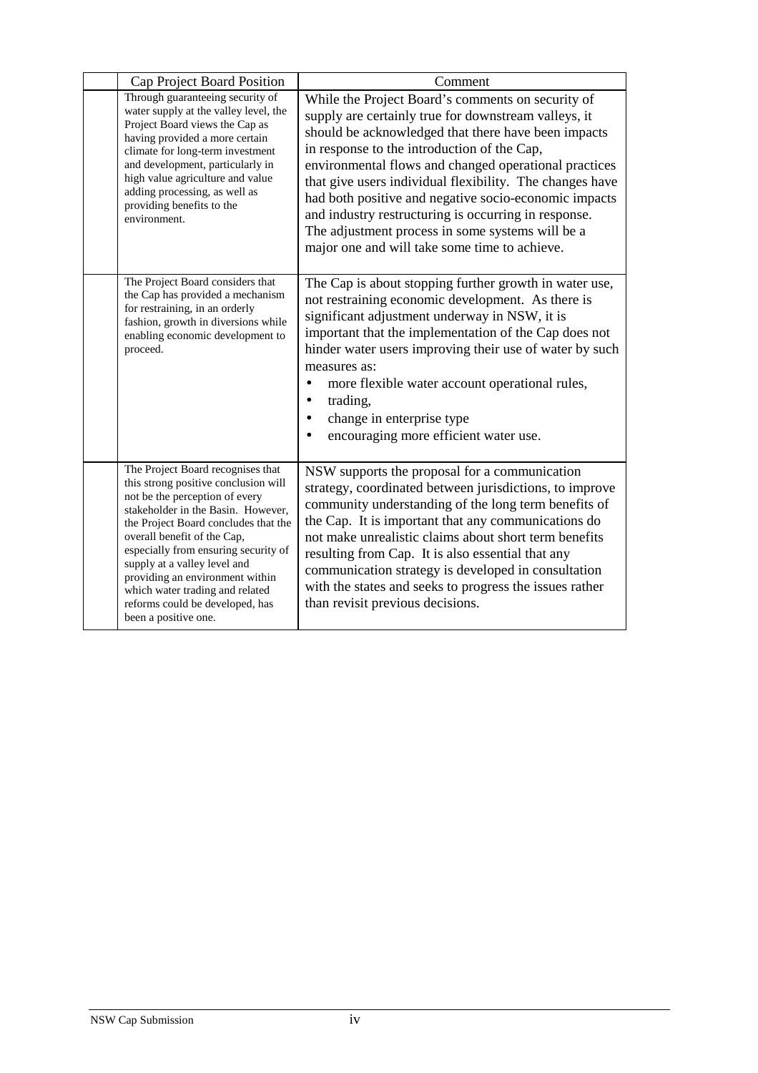| Cap Project Board Position                                                                                                                                                                                                                                                                                                                                                                                                        | Comment                                                                                                                                                                                                                                                                                                                                                                                                                                                                                                                                                    |
|-----------------------------------------------------------------------------------------------------------------------------------------------------------------------------------------------------------------------------------------------------------------------------------------------------------------------------------------------------------------------------------------------------------------------------------|------------------------------------------------------------------------------------------------------------------------------------------------------------------------------------------------------------------------------------------------------------------------------------------------------------------------------------------------------------------------------------------------------------------------------------------------------------------------------------------------------------------------------------------------------------|
| Through guaranteeing security of<br>water supply at the valley level, the<br>Project Board views the Cap as<br>having provided a more certain<br>climate for long-term investment<br>and development, particularly in<br>high value agriculture and value<br>adding processing, as well as<br>providing benefits to the<br>environment.                                                                                           | While the Project Board's comments on security of<br>supply are certainly true for downstream valleys, it<br>should be acknowledged that there have been impacts<br>in response to the introduction of the Cap,<br>environmental flows and changed operational practices<br>that give users individual flexibility. The changes have<br>had both positive and negative socio-economic impacts<br>and industry restructuring is occurring in response.<br>The adjustment process in some systems will be a<br>major one and will take some time to achieve. |
| The Project Board considers that<br>the Cap has provided a mechanism<br>for restraining, in an orderly<br>fashion, growth in diversions while<br>enabling economic development to<br>proceed.                                                                                                                                                                                                                                     | The Cap is about stopping further growth in water use,<br>not restraining economic development. As there is<br>significant adjustment underway in NSW, it is<br>important that the implementation of the Cap does not<br>hinder water users improving their use of water by such<br>measures as:<br>more flexible water account operational rules,<br>trading,<br>change in enterprise type<br>encouraging more efficient water use.                                                                                                                       |
| The Project Board recognises that<br>this strong positive conclusion will<br>not be the perception of every<br>stakeholder in the Basin. However,<br>the Project Board concludes that the<br>overall benefit of the Cap,<br>especially from ensuring security of<br>supply at a valley level and<br>providing an environment within<br>which water trading and related<br>reforms could be developed, has<br>been a positive one. | NSW supports the proposal for a communication<br>strategy, coordinated between jurisdictions, to improve<br>community understanding of the long term benefits of<br>the Cap. It is important that any communications do<br>not make unrealistic claims about short term benefits<br>resulting from Cap. It is also essential that any<br>communication strategy is developed in consultation<br>with the states and seeks to progress the issues rather<br>than revisit previous decisions.                                                                |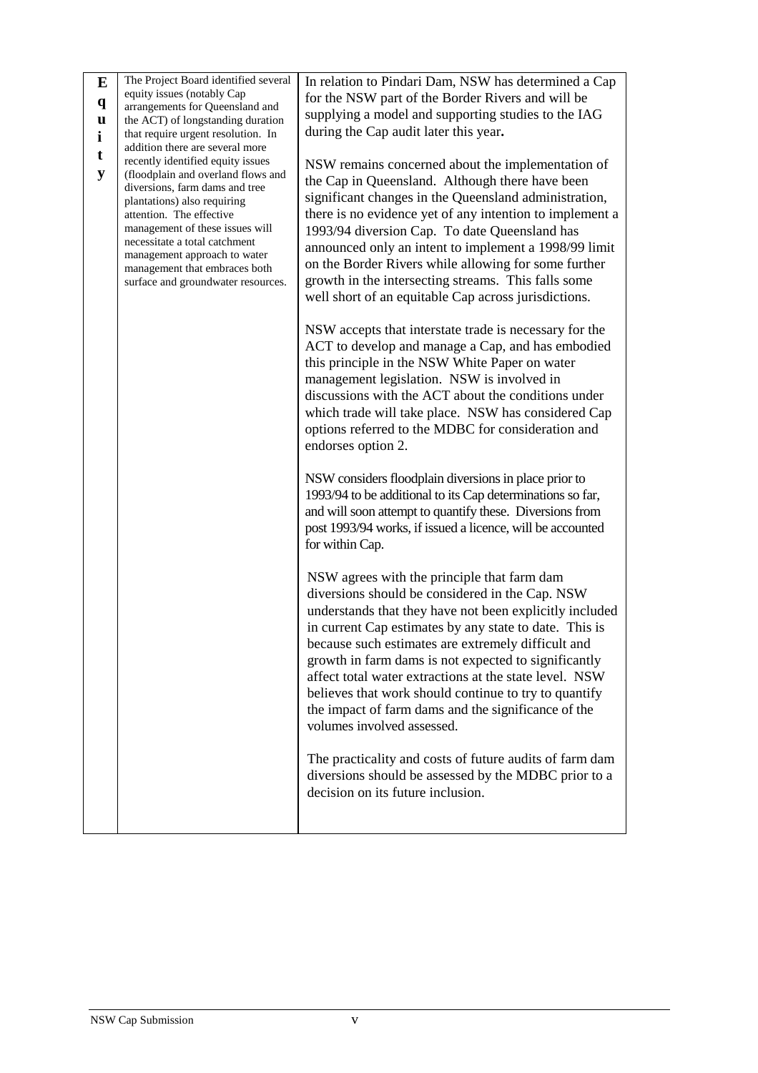| E            | The Project Board identified several                          | In relation to Pindari Dam, NSW has determined a Cap       |
|--------------|---------------------------------------------------------------|------------------------------------------------------------|
| $\mathbf{q}$ | equity issues (notably Cap<br>arrangements for Queensland and | for the NSW part of the Border Rivers and will be          |
| u            | the ACT) of longstanding duration                             | supplying a model and supporting studies to the IAG        |
| i            | that require urgent resolution. In                            | during the Cap audit later this year.                      |
|              | addition there are several more                               |                                                            |
| t            | recently identified equity issues                             | NSW remains concerned about the implementation of          |
| y            | (floodplain and overland flows and                            | the Cap in Queensland. Although there have been            |
|              | diversions, farm dams and tree                                | significant changes in the Queensland administration,      |
|              | plantations) also requiring                                   |                                                            |
|              | attention. The effective<br>management of these issues will   | there is no evidence yet of any intention to implement a   |
|              | necessitate a total catchment                                 | 1993/94 diversion Cap. To date Queensland has              |
|              | management approach to water                                  | announced only an intent to implement a 1998/99 limit      |
|              | management that embraces both                                 | on the Border Rivers while allowing for some further       |
|              | surface and groundwater resources.                            | growth in the intersecting streams. This falls some        |
|              |                                                               | well short of an equitable Cap across jurisdictions.       |
|              |                                                               |                                                            |
|              |                                                               | NSW accepts that interstate trade is necessary for the     |
|              |                                                               | ACT to develop and manage a Cap, and has embodied          |
|              |                                                               | this principle in the NSW White Paper on water             |
|              |                                                               | management legislation. NSW is involved in                 |
|              |                                                               | discussions with the ACT about the conditions under        |
|              |                                                               | which trade will take place. NSW has considered Cap        |
|              |                                                               | options referred to the MDBC for consideration and         |
|              |                                                               | endorses option 2.                                         |
|              |                                                               |                                                            |
|              |                                                               | NSW considers floodplain diversions in place prior to      |
|              |                                                               | 1993/94 to be additional to its Cap determinations so far, |
|              |                                                               | and will soon attempt to quantify these. Diversions from   |
|              |                                                               | post 1993/94 works, if issued a licence, will be accounted |
|              |                                                               | for within Cap.                                            |
|              |                                                               |                                                            |
|              |                                                               | NSW agrees with the principle that farm dam                |
|              |                                                               | diversions should be considered in the Cap. NSW            |
|              |                                                               | understands that they have not been explicitly included    |
|              |                                                               | in current Cap estimates by any state to date. This is     |
|              |                                                               |                                                            |
|              |                                                               | because such estimates are extremely difficult and         |
|              |                                                               | growth in farm dams is not expected to significantly       |
|              |                                                               | affect total water extractions at the state level. NSW     |
|              |                                                               | believes that work should continue to try to quantify      |
|              |                                                               | the impact of farm dams and the significance of the        |
|              |                                                               | volumes involved assessed.                                 |
|              |                                                               |                                                            |
|              |                                                               | The practicality and costs of future audits of farm dam    |
|              |                                                               | diversions should be assessed by the MDBC prior to a       |
|              |                                                               | decision on its future inclusion.                          |
|              |                                                               |                                                            |
|              |                                                               |                                                            |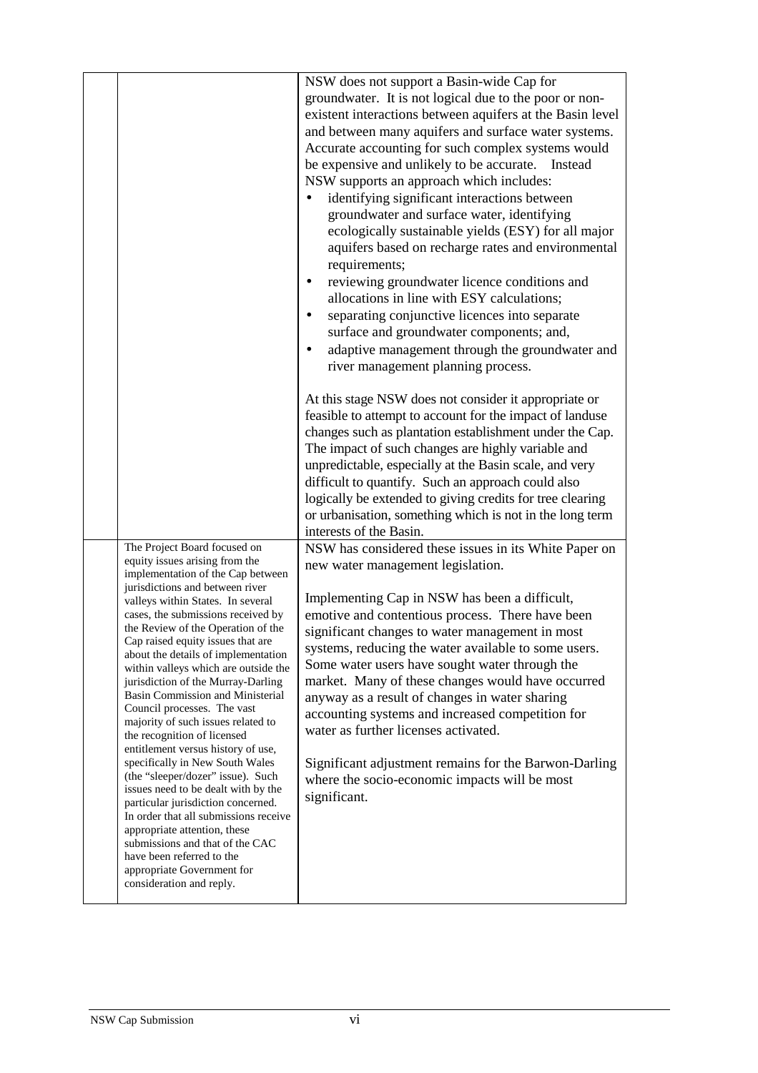|                                                                                                                                                                                                                                                                                                                                                                                                                                                                                                                                                                                                                                                                                                                                                                                                                                                                                                                                                         | NSW does not support a Basin-wide Cap for<br>groundwater. It is not logical due to the poor or non-<br>existent interactions between aquifers at the Basin level<br>and between many aquifers and surface water systems.<br>Accurate accounting for such complex systems would<br>be expensive and unlikely to be accurate.<br>Instead<br>NSW supports an approach which includes:<br>identifying significant interactions between<br>groundwater and surface water, identifying<br>ecologically sustainable yields (ESY) for all major<br>aquifers based on recharge rates and environmental<br>requirements;<br>reviewing groundwater licence conditions and<br>٠<br>allocations in line with ESY calculations;<br>separating conjunctive licences into separate<br>$\bullet$<br>surface and groundwater components; and,<br>adaptive management through the groundwater and<br>$\bullet$<br>river management planning process.<br>At this stage NSW does not consider it appropriate or<br>feasible to attempt to account for the impact of landuse<br>changes such as plantation establishment under the Cap.<br>The impact of such changes are highly variable and<br>unpredictable, especially at the Basin scale, and very<br>difficult to quantify. Such an approach could also<br>logically be extended to giving credits for tree clearing<br>or urbanisation, something which is not in the long term |
|---------------------------------------------------------------------------------------------------------------------------------------------------------------------------------------------------------------------------------------------------------------------------------------------------------------------------------------------------------------------------------------------------------------------------------------------------------------------------------------------------------------------------------------------------------------------------------------------------------------------------------------------------------------------------------------------------------------------------------------------------------------------------------------------------------------------------------------------------------------------------------------------------------------------------------------------------------|------------------------------------------------------------------------------------------------------------------------------------------------------------------------------------------------------------------------------------------------------------------------------------------------------------------------------------------------------------------------------------------------------------------------------------------------------------------------------------------------------------------------------------------------------------------------------------------------------------------------------------------------------------------------------------------------------------------------------------------------------------------------------------------------------------------------------------------------------------------------------------------------------------------------------------------------------------------------------------------------------------------------------------------------------------------------------------------------------------------------------------------------------------------------------------------------------------------------------------------------------------------------------------------------------------------------------------------------------------------------------------------------------------------|
| The Project Board focused on<br>equity issues arising from the<br>implementation of the Cap between<br>jurisdictions and between river<br>valleys within States. In several<br>cases, the submissions received by<br>the Review of the Operation of the<br>Cap raised equity issues that are<br>about the details of implementation<br>within valleys which are outside the<br>jurisdiction of the Murray-Darling<br>Basin Commission and Ministerial<br>Council processes. The vast<br>majority of such issues related to<br>the recognition of licensed<br>entitlement versus history of use,<br>specifically in New South Wales<br>(the "sleeper/dozer" issue). Such<br>issues need to be dealt with by the<br>particular jurisdiction concerned.<br>In order that all submissions receive<br>appropriate attention, these<br>submissions and that of the CAC<br>have been referred to the<br>appropriate Government for<br>consideration and reply. | interests of the Basin.<br>NSW has considered these issues in its White Paper on<br>new water management legislation.<br>Implementing Cap in NSW has been a difficult,<br>emotive and contentious process. There have been<br>significant changes to water management in most<br>systems, reducing the water available to some users.<br>Some water users have sought water through the<br>market. Many of these changes would have occurred<br>anyway as a result of changes in water sharing<br>accounting systems and increased competition for<br>water as further licenses activated.<br>Significant adjustment remains for the Barwon-Darling<br>where the socio-economic impacts will be most<br>significant.                                                                                                                                                                                                                                                                                                                                                                                                                                                                                                                                                                                                                                                                                             |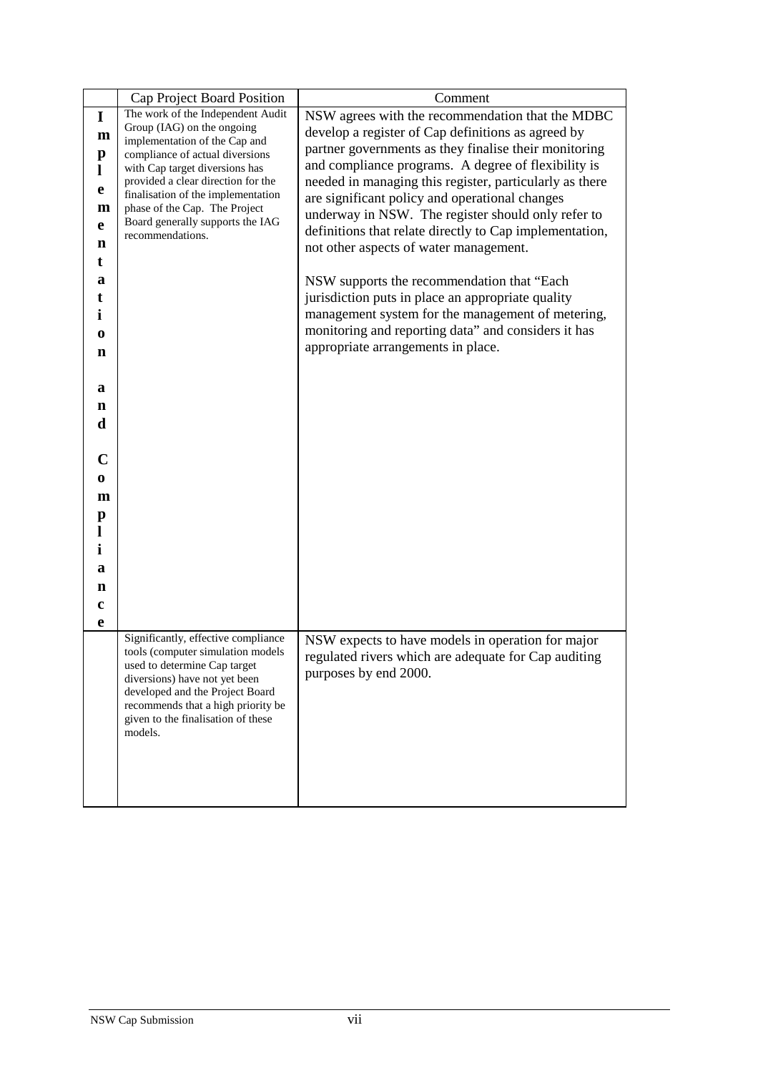|              | Cap Project Board Position                                       | Comment                                                 |
|--------------|------------------------------------------------------------------|---------------------------------------------------------|
| $\mathbf I$  | The work of the Independent Audit                                | NSW agrees with the recommendation that the MDBC        |
| $\mathbf m$  | Group (IAG) on the ongoing                                       | develop a register of Cap definitions as agreed by      |
| $\mathbf{p}$ | implementation of the Cap and<br>compliance of actual diversions | partner governments as they finalise their monitoring   |
| L            | with Cap target diversions has                                   | and compliance programs. A degree of flexibility is     |
|              | provided a clear direction for the                               | needed in managing this register, particularly as there |
| e            | finalisation of the implementation                               | are significant policy and operational changes          |
| m            | phase of the Cap. The Project                                    | underway in NSW. The register should only refer to      |
| e            | Board generally supports the IAG                                 | definitions that relate directly to Cap implementation, |
| n            | recommendations.                                                 | not other aspects of water management.                  |
| t            |                                                                  |                                                         |
| a            |                                                                  | NSW supports the recommendation that "Each"             |
| t            |                                                                  | jurisdiction puts in place an appropriate quality       |
|              |                                                                  | management system for the management of metering,       |
| i            |                                                                  |                                                         |
| 0            |                                                                  | monitoring and reporting data" and considers it has     |
| n            |                                                                  | appropriate arrangements in place.                      |
|              |                                                                  |                                                         |
| a            |                                                                  |                                                         |
| n            |                                                                  |                                                         |
| d            |                                                                  |                                                         |
|              |                                                                  |                                                         |
| C            |                                                                  |                                                         |
|              |                                                                  |                                                         |
| 0            |                                                                  |                                                         |
| m            |                                                                  |                                                         |
| $\mathbf{p}$ |                                                                  |                                                         |
| $\bf{l}$     |                                                                  |                                                         |
| i            |                                                                  |                                                         |
| a            |                                                                  |                                                         |
| n            |                                                                  |                                                         |
| c            |                                                                  |                                                         |
| e            |                                                                  |                                                         |
|              | Significantly, effective compliance                              | NSW expects to have models in operation for major       |
|              | tools (computer simulation models                                | regulated rivers which are adequate for Cap auditing    |
|              | used to determine Cap target<br>diversions) have not yet been    | purposes by end 2000.                                   |
|              | developed and the Project Board                                  |                                                         |
|              | recommends that a high priority be                               |                                                         |
|              | given to the finalisation of these                               |                                                         |
|              | models.                                                          |                                                         |
|              |                                                                  |                                                         |
|              |                                                                  |                                                         |
|              |                                                                  |                                                         |
|              |                                                                  |                                                         |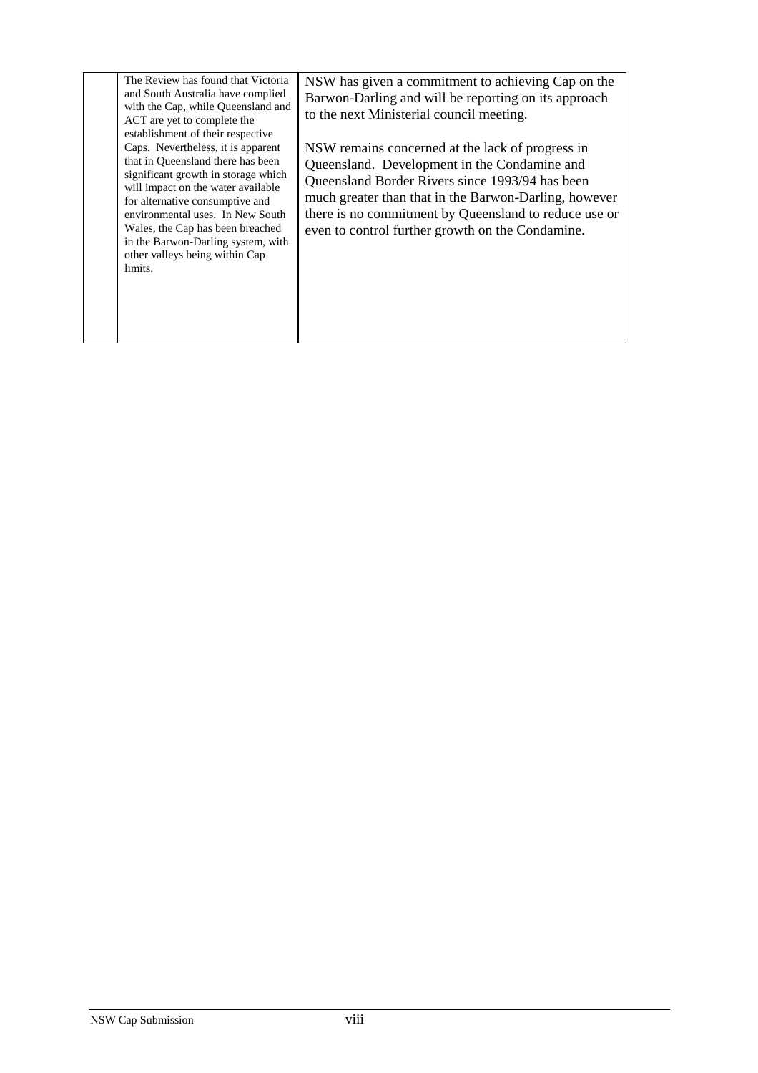| The Review has found that Victoria<br>and South Australia have complied<br>with the Cap, while Queensland and<br>ACT are yet to complete the<br>establishment of their respective<br>Caps. Nevertheless, it is apparent<br>that in Queensland there has been<br>significant growth in storage which<br>will impact on the water available<br>for alternative consumptive and<br>environmental uses. In New South<br>Wales, the Cap has been breached<br>in the Barwon-Darling system, with<br>other valleys being within Cap<br>limits. | NSW has given a commitment to achieving Cap on the<br>Barwon-Darling and will be reporting on its approach<br>to the next Ministerial council meeting.<br>NSW remains concerned at the lack of progress in<br>Queensland. Development in the Condamine and<br>Queensland Border Rivers since 1993/94 has been<br>much greater than that in the Barwon-Darling, however<br>there is no commitment by Queensland to reduce use or<br>even to control further growth on the Condamine. |
|-----------------------------------------------------------------------------------------------------------------------------------------------------------------------------------------------------------------------------------------------------------------------------------------------------------------------------------------------------------------------------------------------------------------------------------------------------------------------------------------------------------------------------------------|-------------------------------------------------------------------------------------------------------------------------------------------------------------------------------------------------------------------------------------------------------------------------------------------------------------------------------------------------------------------------------------------------------------------------------------------------------------------------------------|
|-----------------------------------------------------------------------------------------------------------------------------------------------------------------------------------------------------------------------------------------------------------------------------------------------------------------------------------------------------------------------------------------------------------------------------------------------------------------------------------------------------------------------------------------|-------------------------------------------------------------------------------------------------------------------------------------------------------------------------------------------------------------------------------------------------------------------------------------------------------------------------------------------------------------------------------------------------------------------------------------------------------------------------------------|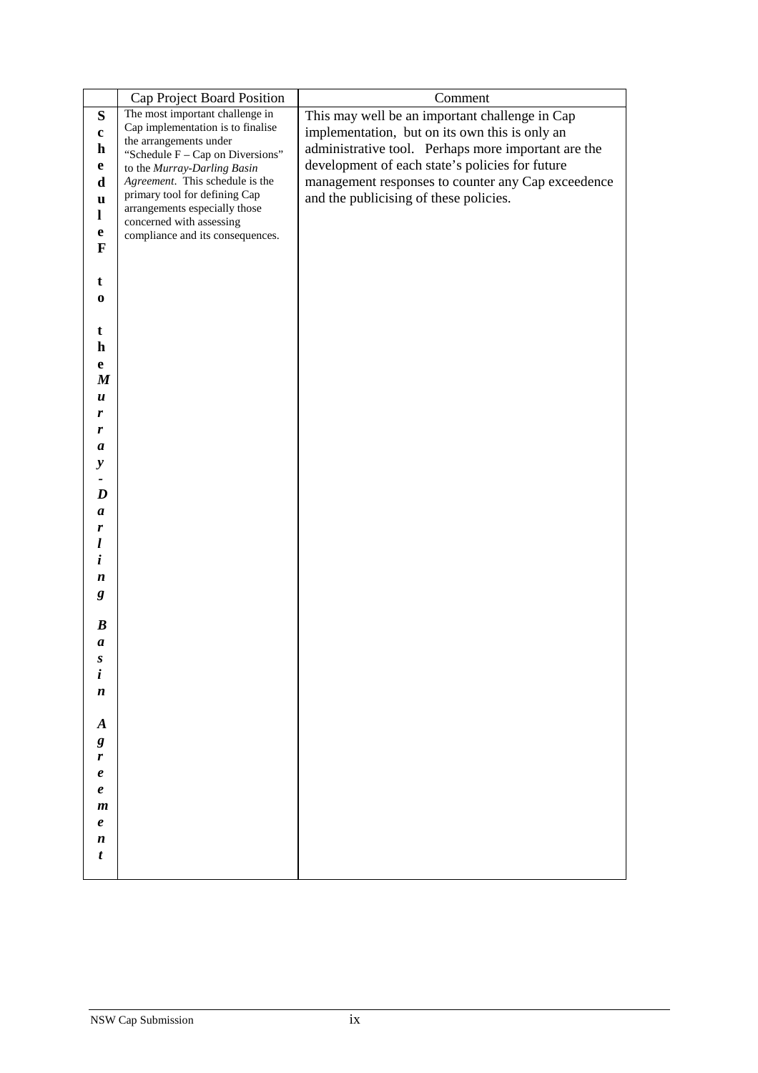|                                 | Cap Project Board Position                                      | Comment                                             |
|---------------------------------|-----------------------------------------------------------------|-----------------------------------------------------|
| ${\bf S}$                       | The most important challenge in                                 | This may well be an important challenge in Cap      |
| $\mathbf c$                     | Cap implementation is to finalise                               | implementation, but on its own this is only an      |
| $\mathbf h$                     | the arrangements under                                          | administrative tool. Perhaps more important are the |
| e                               | "Schedule F - Cap on Diversions"<br>to the Murray-Darling Basin | development of each state's policies for future     |
| d                               | Agreement. This schedule is the                                 | management responses to counter any Cap exceedence  |
| u                               | primary tool for defining Cap                                   | and the publicising of these policies.              |
| $\mathbf{l}$                    | arrangements especially those                                   |                                                     |
| e                               | concerned with assessing                                        |                                                     |
| $\mathbf F$                     | compliance and its consequences.                                |                                                     |
|                                 |                                                                 |                                                     |
| t                               |                                                                 |                                                     |
|                                 |                                                                 |                                                     |
| $\bf{0}$                        |                                                                 |                                                     |
| t                               |                                                                 |                                                     |
| $\mathbf h$                     |                                                                 |                                                     |
|                                 |                                                                 |                                                     |
| $\mathbf e$<br>$\boldsymbol{M}$ |                                                                 |                                                     |
| $\boldsymbol{u}$                |                                                                 |                                                     |
| r                               |                                                                 |                                                     |
| r                               |                                                                 |                                                     |
| a                               |                                                                 |                                                     |
| $\mathbf{y}$                    |                                                                 |                                                     |
|                                 |                                                                 |                                                     |
| D                               |                                                                 |                                                     |
| $\boldsymbol{a}$                |                                                                 |                                                     |
| r                               |                                                                 |                                                     |
| l                               |                                                                 |                                                     |
| i                               |                                                                 |                                                     |
| $\boldsymbol{n}$                |                                                                 |                                                     |
| g                               |                                                                 |                                                     |
|                                 |                                                                 |                                                     |
| $\boldsymbol{B}$                |                                                                 |                                                     |
| $\boldsymbol{a}$                |                                                                 |                                                     |
| S                               |                                                                 |                                                     |
| i                               |                                                                 |                                                     |
| $\boldsymbol{n}$                |                                                                 |                                                     |
|                                 |                                                                 |                                                     |
| $\boldsymbol{A}$                |                                                                 |                                                     |
| g                               |                                                                 |                                                     |
| r                               |                                                                 |                                                     |
| $\pmb{e}$                       |                                                                 |                                                     |
| $\pmb{e}$                       |                                                                 |                                                     |
| $\boldsymbol{m}$                |                                                                 |                                                     |
| $\pmb{e}$                       |                                                                 |                                                     |
| $\boldsymbol{n}$                |                                                                 |                                                     |
| t                               |                                                                 |                                                     |
|                                 |                                                                 |                                                     |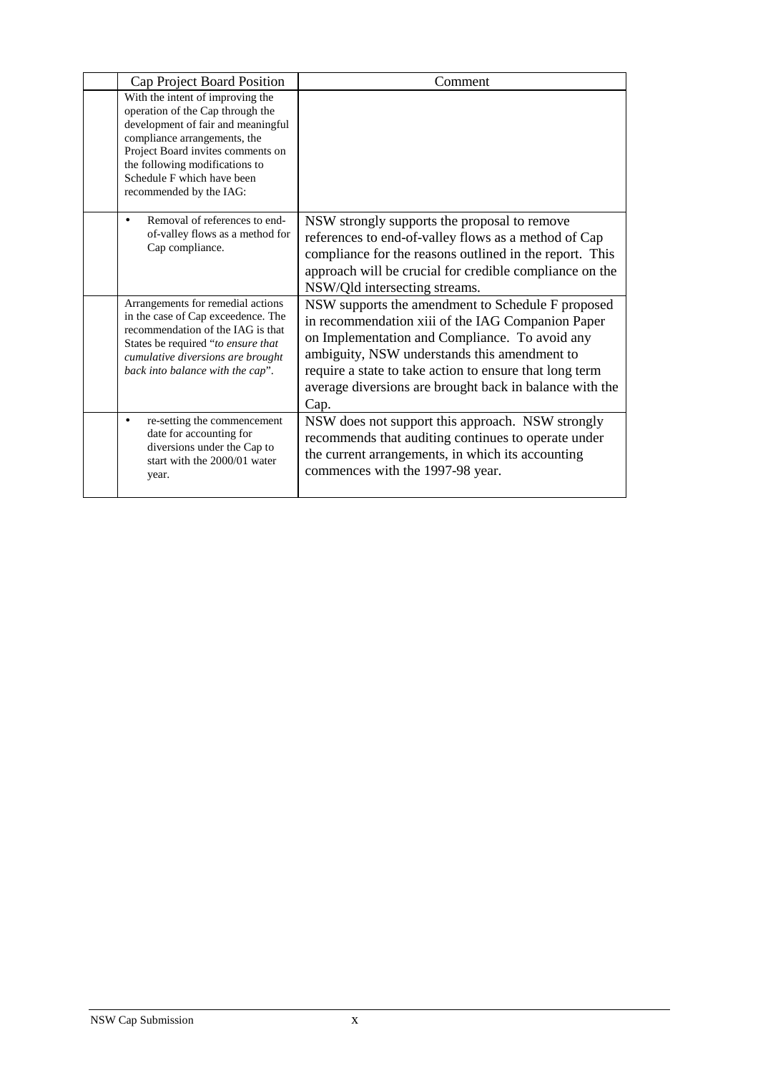| Cap Project Board Position                                                                                                                                                                                                                                                 | Comment                                                                                                                                                                                                                                                                                                                                |
|----------------------------------------------------------------------------------------------------------------------------------------------------------------------------------------------------------------------------------------------------------------------------|----------------------------------------------------------------------------------------------------------------------------------------------------------------------------------------------------------------------------------------------------------------------------------------------------------------------------------------|
| With the intent of improving the<br>operation of the Cap through the<br>development of fair and meaningful<br>compliance arrangements, the<br>Project Board invites comments on<br>the following modifications to<br>Schedule F which have been<br>recommended by the IAG: |                                                                                                                                                                                                                                                                                                                                        |
| Removal of references to end-<br>$\bullet$<br>of-valley flows as a method for<br>Cap compliance.                                                                                                                                                                           | NSW strongly supports the proposal to remove<br>references to end-of-valley flows as a method of Cap<br>compliance for the reasons outlined in the report. This<br>approach will be crucial for credible compliance on the<br>NSW/Qld intersecting streams.                                                                            |
| Arrangements for remedial actions<br>in the case of Cap exceedence. The<br>recommendation of the IAG is that<br>States be required "to ensure that<br>cumulative diversions are brought<br>back into balance with the cap".                                                | NSW supports the amendment to Schedule F proposed<br>in recommendation xiii of the IAG Companion Paper<br>on Implementation and Compliance. To avoid any<br>ambiguity, NSW understands this amendment to<br>require a state to take action to ensure that long term<br>average diversions are brought back in balance with the<br>Cap. |
| re-setting the commencement<br>٠<br>date for accounting for<br>diversions under the Cap to<br>start with the 2000/01 water<br>year.                                                                                                                                        | NSW does not support this approach. NSW strongly<br>recommends that auditing continues to operate under<br>the current arrangements, in which its accounting<br>commences with the 1997-98 year.                                                                                                                                       |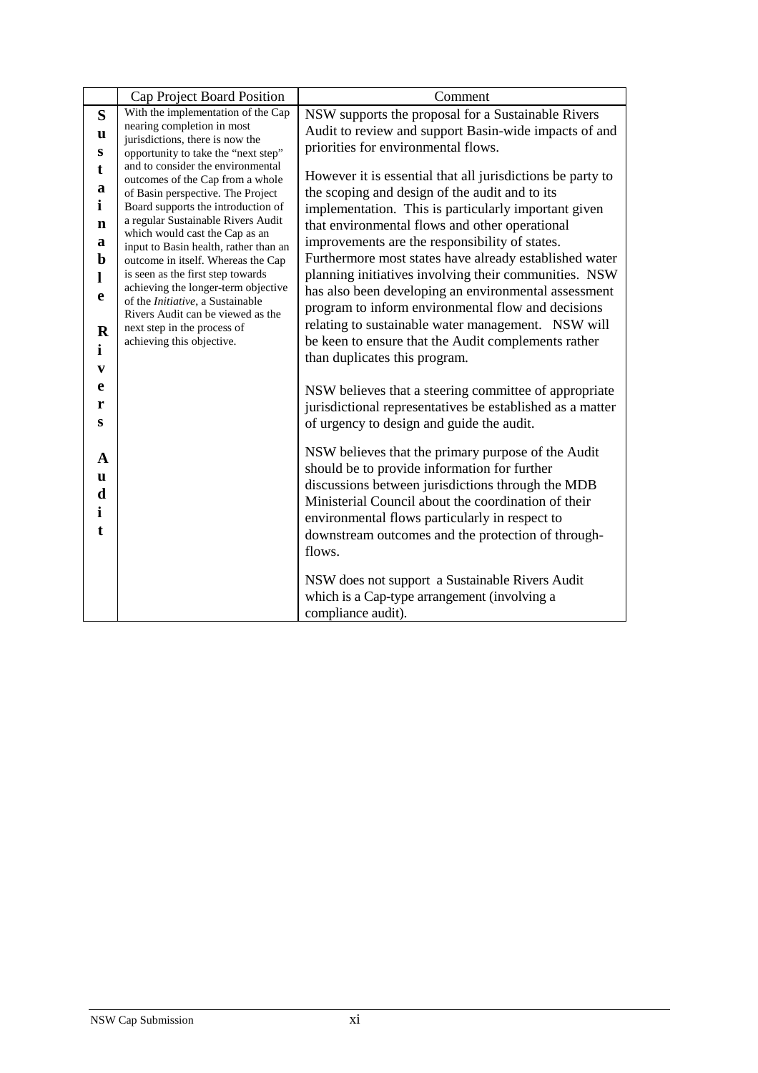|                                                                                                                         | Cap Project Board Position                                                                                                                                                                                                                                                                                                                                                                                                                                                                                                       | Comment                                                                                                                                                                                                                                                                                                                                                                                                                                                                                                                                                                                                                                                                                                                                                                                                                                                                                                                                                                                                                                                                                                                                                        |
|-------------------------------------------------------------------------------------------------------------------------|----------------------------------------------------------------------------------------------------------------------------------------------------------------------------------------------------------------------------------------------------------------------------------------------------------------------------------------------------------------------------------------------------------------------------------------------------------------------------------------------------------------------------------|----------------------------------------------------------------------------------------------------------------------------------------------------------------------------------------------------------------------------------------------------------------------------------------------------------------------------------------------------------------------------------------------------------------------------------------------------------------------------------------------------------------------------------------------------------------------------------------------------------------------------------------------------------------------------------------------------------------------------------------------------------------------------------------------------------------------------------------------------------------------------------------------------------------------------------------------------------------------------------------------------------------------------------------------------------------------------------------------------------------------------------------------------------------|
| S                                                                                                                       | With the implementation of the Cap                                                                                                                                                                                                                                                                                                                                                                                                                                                                                               | NSW supports the proposal for a Sustainable Rivers                                                                                                                                                                                                                                                                                                                                                                                                                                                                                                                                                                                                                                                                                                                                                                                                                                                                                                                                                                                                                                                                                                             |
| u                                                                                                                       | nearing completion in most<br>jurisdictions, there is now the                                                                                                                                                                                                                                                                                                                                                                                                                                                                    | Audit to review and support Basin-wide impacts of and                                                                                                                                                                                                                                                                                                                                                                                                                                                                                                                                                                                                                                                                                                                                                                                                                                                                                                                                                                                                                                                                                                          |
| S                                                                                                                       | opportunity to take the "next step"                                                                                                                                                                                                                                                                                                                                                                                                                                                                                              | priorities for environmental flows.                                                                                                                                                                                                                                                                                                                                                                                                                                                                                                                                                                                                                                                                                                                                                                                                                                                                                                                                                                                                                                                                                                                            |
| t<br>a<br>$\mathbf{i}$<br>n<br>a<br>b<br>L<br>e<br>$\bf R$<br>i<br>$\mathbf{v}$<br>e<br>r<br>S<br>A<br>u<br>d<br>i<br>t | and to consider the environmental<br>outcomes of the Cap from a whole<br>of Basin perspective. The Project<br>Board supports the introduction of<br>a regular Sustainable Rivers Audit<br>which would cast the Cap as an<br>input to Basin health, rather than an<br>outcome in itself. Whereas the Cap<br>is seen as the first step towards<br>achieving the longer-term objective<br>of the <i>Initiative</i> , a Sustainable<br>Rivers Audit can be viewed as the<br>next step in the process of<br>achieving this objective. | However it is essential that all jurisdictions be party to<br>the scoping and design of the audit and to its<br>implementation. This is particularly important given<br>that environmental flows and other operational<br>improvements are the responsibility of states.<br>Furthermore most states have already established water<br>planning initiatives involving their communities. NSW<br>has also been developing an environmental assessment<br>program to inform environmental flow and decisions<br>relating to sustainable water management. NSW will<br>be keen to ensure that the Audit complements rather<br>than duplicates this program.<br>NSW believes that a steering committee of appropriate<br>jurisdictional representatives be established as a matter<br>of urgency to design and guide the audit.<br>NSW believes that the primary purpose of the Audit<br>should be to provide information for further<br>discussions between jurisdictions through the MDB<br>Ministerial Council about the coordination of their<br>environmental flows particularly in respect to<br>downstream outcomes and the protection of through-<br>flows. |
|                                                                                                                         |                                                                                                                                                                                                                                                                                                                                                                                                                                                                                                                                  | NSW does not support a Sustainable Rivers Audit<br>which is a Cap-type arrangement (involving a                                                                                                                                                                                                                                                                                                                                                                                                                                                                                                                                                                                                                                                                                                                                                                                                                                                                                                                                                                                                                                                                |
|                                                                                                                         |                                                                                                                                                                                                                                                                                                                                                                                                                                                                                                                                  | compliance audit).                                                                                                                                                                                                                                                                                                                                                                                                                                                                                                                                                                                                                                                                                                                                                                                                                                                                                                                                                                                                                                                                                                                                             |